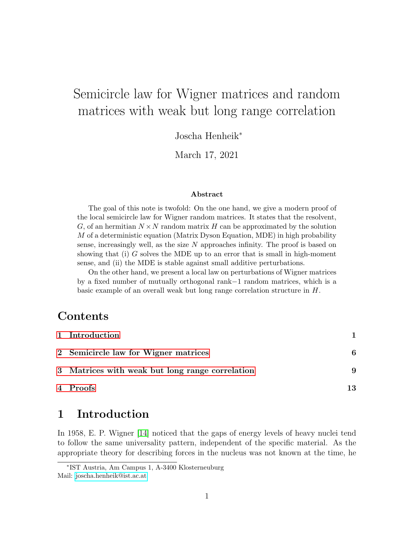# Semicircle law for Wigner matrices and random matrices with weak but long range correlation

Joscha Henheik<sup>∗</sup>

March 17, 2021

#### Abstract

The goal of this note is twofold: On the one hand, we give a modern proof of the local semicircle law for Wigner random matrices. It states that the resolvent, G, of an hermitian  $N \times N$  random matrix H can be approximated by the solution  $M$  of a deterministic equation (Matrix Dyson Equation, MDE) in high probability sense, increasingly well, as the size  $N$  approaches infinity. The proof is based on showing that  $(i)$  G solves the MDE up to an error that is small in high-moment sense, and (ii) the MDE is stable against small additive perturbations.

On the other hand, we present a local law on perturbations of Wigner matrices by a fixed number of mutually orthogonal rank−1 random matrices, which is a basic example of an overall weak but long range correlation structure in H.

## Contents

| 1 Introduction                                  |    |
|-------------------------------------------------|----|
| 2 Semicircle law for Wigner matrices            | 6  |
| 3 Matrices with weak but long range correlation | 9  |
| 4 Proofs                                        | 13 |

## <span id="page-0-0"></span>1 Introduction

In 1958, E. P. Wigner [\[14\]](#page-27-0) noticed that the gaps of energy levels of heavy nuclei tend to follow the same universality pattern, independent of the specific material. As the appropriate theory for describing forces in the nucleus was not known at the time, he

<sup>∗</sup> IST Austria, Am Campus 1, A-3400 Klosterneuburg Mail: [joscha.henheik@ist.ac.at](mailto:joscha.henheik@ist.ac.at)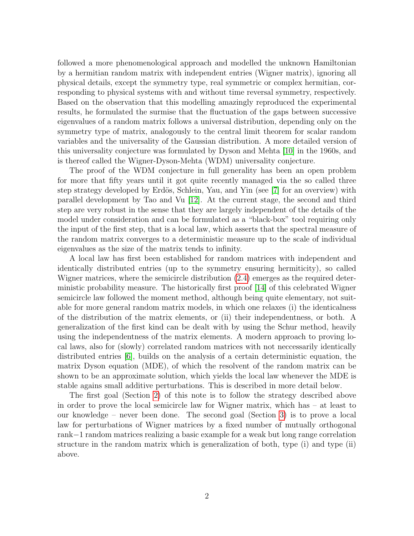followed a more phenomenological approach and modelled the unknown Hamiltonian by a hermitian random matrix with independent entries (Wigner matrix), ignoring all physical details, except the symmetry type, real symmetric or complex hermitian, corresponding to physical systems with and without time reversal symmetry, respectively. Based on the observation that this modelling amazingly reproduced the experimental results, he formulated the surmise that the fluctuation of the gaps between successive eigenvalues of a random matrix follows a universal distribution, depending only on the symmetry type of matrix, analogously to the central limit theorem for scalar random variables and the universality of the Gaussian distribution. A more detailed version of this universality conjecture was formulated by Dyson and Mehta [\[10\]](#page-27-1) in the 1960s, and is thereof called the Wigner-Dyson-Mehta (WDM) universality conjecture.

The proof of the WDM conjecture in full generality has been an open problem for more that fifty years until it got quite recently managed via the so called three step strategy developed by Erdös, Schlein, Yau, and Yin (see [\[7\]](#page-27-2) for an overview) with parallel development by Tao and Vu [\[12\]](#page-27-3). At the current stage, the second and third step are very robust in the sense that they are largely independent of the details of the model under consideration and can be formulated as a "black-box" tool requiring only the input of the first step, that is a local law, which asserts that the spectral measure of the random matrix converges to a deterministic measure up to the scale of individual eigenvalues as the size of the matrix tends to infinity.

A local law has first been established for random matrices with independent and identically distributed entries (up to the symmetry ensuring hermiticity), so called Wigner matrices, where the semicircle distribution [\(2.4\)](#page-6-0) emerges as the required deterministic probability measure. The historically first proof [\[14\]](#page-27-0) of this celebrated Wigner semicircle law followed the moment method, although being quite elementary, not suitable for more general random matrix models, in which one relaxes (i) the identicalness of the distribution of the matrix elements, or (ii) their independentness, or both. A generalization of the first kind can be dealt with by using the Schur method, heavily using the independentness of the matrix elements. A modern approach to proving local laws, also for (slowly) correlated random matrices with not neccessarily identically distributed entries [\[6\]](#page-27-4), builds on the analysis of a certain deterministic equation, the matrix Dyson equation (MDE), of which the resolvent of the random matrix can be shown to be an approximate solution, which yields the local law whenever the MDE is stable agains small additive perturbations. This is described in more detail below.

The first goal (Section [2\)](#page-5-0) of this note is to follow the strategy described above in order to prove the local semicircle law for Wigner matrix, which has – at least to our knowledge – never been done. The second goal (Section [3\)](#page-8-0) is to prove a local law for perturbations of Wigner matrices by a fixed number of mutually orthogonal rank−1 random matrices realizing a basic example for a weak but long range correlation structure in the random matrix which is generalization of both, type (i) and type (ii) above.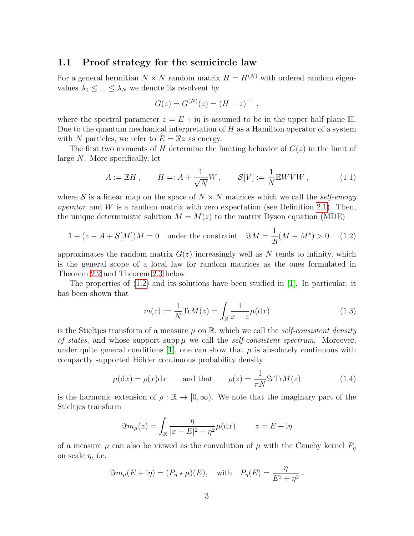### 1.1 Proof strategy for the semicircle law

For a general hermitian  $N \times N$  random matrix  $H = H^{(N)}$  with ordered random eigenvalues  $\lambda_1 \leq \ldots \leq \lambda_N$  we denote its resolvent by

$$
G(z) = G(N)(z) = (H - z)-1,
$$

where the spectral parameter  $z = E + i\eta$  is assumed to be in the upper half plane  $\mathbb{H}$ . Due to the quantum mechanical interpretation of  $H$  as a Hamilton operator of a system with N particles, we refer to  $E = \Re z$  as energy.

The first two moments of H determine the limiting behavior of  $G(z)$  in the limit of large N. More specifically, let

<span id="page-2-2"></span>
$$
A := \mathbb{E}H, \qquad H =: A + \frac{1}{\sqrt{N}}W, \qquad \mathcal{S}[V] := \frac{1}{N}\mathbb{E}WVW, \tag{1.1}
$$

where S is a linear map on the space of  $N \times N$  matrices which we call the self-energy *operator* and W is a random matrix with zero expectation (see Definition [2.1\)](#page-5-1). Then, the unique deterministic solution  $M = M(z)$  to the matrix Dyson equation (MDE)

<span id="page-2-0"></span>
$$
1 + (z - A + S[M])M = 0
$$
 under the constraint  $\Im M = \frac{1}{2i}(M - M^*) > 0$  (1.2)

approximates the random matrix  $G(z)$  increasingly well as N tends to infinity, which is the general scope of a local law for random matrices as the ones formulated in Theorem [2.2](#page-6-1) and Theorem [2.3](#page-7-0) below.

The properties of [\(1.2\)](#page-2-0) and its solutions have been studied in [\[1\]](#page-26-0). In particular, it has been shown that

$$
m(z) := \frac{1}{N} \text{Tr} M(z) = \int_{\mathbb{R}} \frac{1}{x - z} \mu(\mathrm{d}x)
$$
 (1.3)

is the Stieltjes transform of a measure  $\mu$  on  $\mathbb{R}$ , which we call the self-consistent density of states, and whose support supp  $\mu$  we call the self-consistent spectrum. Moreover, under quite general conditions [\[1\]](#page-26-0), one can show that  $\mu$  is absolutely continuous with compactly supported Hölder continuous probability density

<span id="page-2-1"></span>
$$
\mu(\mathrm{d}x) = \rho(x)\mathrm{d}x
$$
 and that  $\rho(z) = \frac{1}{\pi N} \Im \operatorname{Tr}M(z)$  (1.4)

is the harmonic extension of  $\rho : \mathbb{R} \to [0, \infty)$ . We note that the imaginary part of the Stieltjes transform

$$
\Im m_{\mu}(z) = \int_{\mathbb{R}} \frac{\eta}{|x - E|^2 + \eta^2} \mu(\mathrm{d}x), \qquad z = E + \mathrm{i}\eta
$$

of a measure  $\mu$  can also be viewed as the convolution of  $\mu$  with the Cauchy kernel  $P_{\eta}$ on scale  $\eta$ , i.e.

$$
\Im m_{\mu}(E + i\eta) = (P_{\eta} \star \mu)(E), \text{ with } P_{\eta}(E) = \frac{\eta}{E^2 + \eta^2}.
$$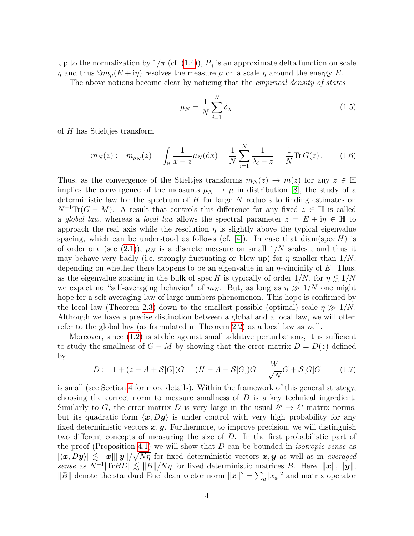Up to the normalization by  $1/\pi$  (cf. [\(1.4\)](#page-2-1)),  $P_{\eta}$  is an approximate delta function on scale  $\eta$  and thus  $\Im m_\mu(E + i\eta)$  resolves the measure  $\mu$  on a scale  $\eta$  around the energy E.

The above notions become clear by noticing that the *empirical density of states* 

<span id="page-3-0"></span>
$$
\mu_N = \frac{1}{N} \sum_{i=1}^{N} \delta_{\lambda_i} \tag{1.5}
$$

of H has Stieltjes transform

$$
m_N(z) := m_{\mu_N}(z) = \int_{\mathbb{R}} \frac{1}{x - z} \mu_N(\mathrm{d}x) = \frac{1}{N} \sum_{i=1}^N \frac{1}{\lambda_i - z} = \frac{1}{N} \text{Tr} \, G(z) \,. \tag{1.6}
$$

Thus, as the convergence of the Stieltjes transforms  $m_N(z) \to m(z)$  for any  $z \in \mathbb{H}$ implies the convergence of the measures  $\mu_N \to \mu$  in distribution [\[8\]](#page-27-5), the study of a deterministic law for the spectrum of  $H$  for large  $N$  reduces to finding estimates on  $N^{-1}\text{Tr}(G-M)$ . A result that controls this difference for any fixed  $z \in \mathbb{H}$  is called a global law, whereas a local law allows the spectral parameter  $z = E + i\eta \in \mathbb{H}$  to approach the real axis while the resolution  $\eta$  is slightly above the typical eigenvalue spacing, which can be understood as follows (cf. [\[4\]](#page-26-1)). In case that diam(spec H) is of order one (see [\(2.1\)](#page-5-2)),  $\mu_N$  is a discrete measure on small  $1/N$  scales, and thus it may behave very badly (i.e. strongly fluctuating or blow up) for  $\eta$  smaller than  $1/N$ , depending on whether there happens to be an eigenvalue in an  $\eta$ -vincinity of E. Thus, as the eigenvalue spacing in the bulk of spec H is typically of order  $1/N$ , for  $\eta \lesssim 1/N$ we expect no "self-averaging behavior" of  $m_N$ . But, as long as  $\eta \gg 1/N$  one might hope for a self-averaging law of large numbers phenomenon. This hope is confirmed by the local law (Theorem [2.3\)](#page-7-0) down to the smallest possible (optimal) scale  $\eta \gg 1/N$ . Although we have a precise distinction between a global and a local law, we will often refer to the global law (as formulated in Theorem [2.2\)](#page-6-1) as a local law as well.

Moreover, since [\(1.2\)](#page-2-0) is stable against small additive perturbations, it is sufficient to study the smallness of  $G - M$  by showing that the error matrix  $D = D(z)$  defined by

<span id="page-3-1"></span>
$$
D := 1 + (z - A + S[G])G = (H - A + S[G])G = \frac{W}{\sqrt{N}}G + S[G]G
$$
 (1.7)

is small (see Section [4](#page-12-0) for more details). Within the framework of this general strategy, choosing the correct norm to measure smallness of  $D$  is a key technical ingredient. Similarly to G, the error matrix D is very large in the usual  $\ell^p \to \ell^q$  matrix norms, but its quadratic form  $\langle x, Dy \rangle$  is under control with very high probability for any fixed deterministic vectors  $x, y$ . Furthermore, to improve precision, we will distinguish two different concepts of measuring the size of D. In the first probabilistic part of the proof (Proposition [4.1\)](#page-12-1) we will show that D can be bounded in *isotropic sense* as  $|\langle x, Dy \rangle| \leq ||x|| ||y|| / \sqrt{N\eta}$  for fixed deterministic vectors  $x, y$  as well as in averaged sense as  $N^{-1}$ |Tr $BD \le ||B||/N\eta$  for fixed deterministic matrices B. Here,  $||\mathbf{x}||$ ,  $||\mathbf{y}||$ , ||B|| denote the standard Euclidean vector norm  $||x||^2 = \sum_a |x_a|^2$  and matrix operator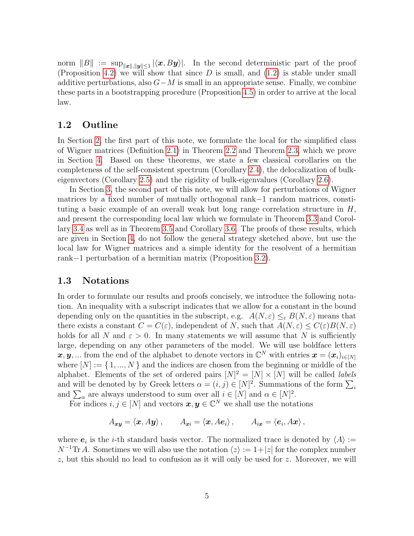norm  $||B|| := \sup_{||x||, ||y|| \le 1} |\langle x, By \rangle|$ . In the second deterministic part of the proof (Proposition [4.2\)](#page-15-0) we will show that since  $D$  is small, and  $(1.2)$  is stable under small additive perturbations, also  $G-M$  is small in an appropriate sense. Finally, we combine these parts in a bootstrapping procedure (Proposition [4.5\)](#page-17-0) in order to arrive at the local law.

### 1.2 Outline

In Section [2,](#page-5-0) the first part of this note, we formulate the local for the simplified class of Wigner matrices (Definition [2.1\)](#page-5-1) in Theorem [2.2](#page-6-1) and Theorem [2.3,](#page-7-0) which we prove in Section [4.](#page-12-0) Based on these theorems, we state a few classical corollaries on the completeness of the self-consistent spectrum (Corollary [2.4\)](#page-7-1), the delocalization of bulkeigenvectors (Corollary [2.5\)](#page-7-2) and the rigidity of bulk-eigenvalues (Corollary [2.6\)](#page-8-1).

In Section [3,](#page-8-0) the second part of this note, we will allow for perturbations of Wigner matrices by a fixed number of mutually orthogonal rank−1 random matrices, constituting a basic example of an overall weak but long range correlation structure in  $H$ , and present the corresponding local law which we formulate in Theorem [3.3](#page-10-0) and Corollary [3.4](#page-11-0) as well as in Theorem [3.5](#page-11-1) and Corollary [3.6.](#page-12-2) The proofs of these results, which are given in Section [4,](#page-12-0) do not follow the general strategy sketched above, but use the local law for Wigner matrices and a simple identity for the resolvent of a hermitian rank−1 perturbation of a hermitian matrix (Proposition [3.2\)](#page-9-0).

### 1.3 Notations

In order to formulate our results and proofs concisely, we introduce the following notation. An inequality with a subscript indicates that we allow for a constant in the bound depending only on the quantities in the subscript, e.g.  $A(N, \varepsilon) \leq_{\varepsilon} B(N, \varepsilon)$  means that there exists a constant  $C = C(\varepsilon)$ , independent of N, such that  $A(N, \varepsilon) \leq C(\varepsilon)B(N, \varepsilon)$ holds for all N and  $\varepsilon > 0$ . In many statements we will assume that N is sufficiently large, depending on any other parameters of the model. We will use boldface letters  $x, y, ...$  from the end of the alphabet to denote vectors in  $\mathbb{C}^N$  with entries  $\boldsymbol{x} = (\boldsymbol{x}_i)_{i \in [N]}$ where  $[N] := \{1, ..., N\}$  and the indices are chosen from the beginning or middle of the alphabet. Elements of the set of ordered pairs  $[N]^2 = [N] \times [N]$  will be called *labels* and will be denoted by by Greek letters  $\alpha = (i, j) \in [N]^2$ . Summations of the form  $\sum_i$ and  $\sum_{\alpha}$  are always understood to sum over all  $i \in [N]$  and  $\alpha \in [N]^2$ .

For indices  $i, j \in [N]$  and vectors  $\boldsymbol{x}, \boldsymbol{y} \in \mathbb{C}^N$  we shall use the notations

$$
A_{xy} = \langle x, Ay \rangle
$$
,  $A_{xi} = \langle x, Ae_i \rangle$ ,  $A_{ix} = \langle e_i, Ax \rangle$ ,

where  $e_i$  is the *i*-th standard basis vector. The normalized trace is denoted by  $\langle A \rangle :=$  $N^{-1}\text{Tr }A$ . Sometimes we will also use the notation  $\langle z \rangle := 1+|z|$  for the complex number z, but this should no lead to confusion as it will only be used for z. Moreover, we will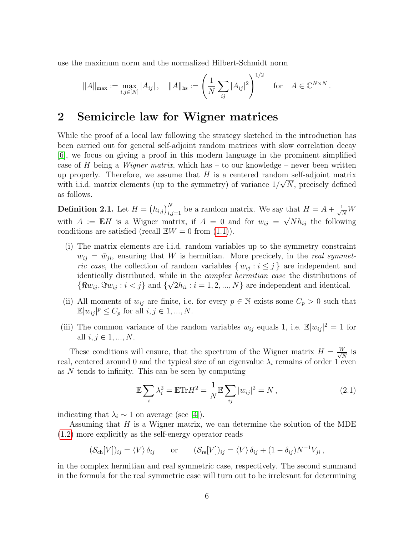use the maximum norm and the normalized Hilbert-Schmidt norm

$$
||A||_{\max} := \max_{i,j \in [N]} |A_{ij}|, \quad ||A||_{\text{hs}} := \left(\frac{1}{N} \sum_{ij} |A_{ij}|^2\right)^{1/2} \quad \text{for} \quad A \in \mathbb{C}^{N \times N}.
$$

## <span id="page-5-0"></span>2 Semicircle law for Wigner matrices

While the proof of a local law following the strategy sketched in the introduction has been carried out for general self-adjoint random matrices with slow correlation decay [\[6\]](#page-27-4), we focus on giving a proof in this modern language in the prominent simplified case of H being a *Wigner matrix*, which has – to our knowledge – never been written up properly. Therefore, we assume that H is a centered random self-adjoint matrix with i.i.d. matrix elements (up to the symmetry) of variance  $1/\sqrt{N}$ , precisely defined as follows.

<span id="page-5-1"></span>**Definition 2.1.** Let  $H = (h_{i,j})_{i,j=1}^N$  be a random matrix. We say that  $H = A + \frac{1}{\sqrt{N}}W$ with  $A := \mathbb{E}H$  is a Wigner matrix, if  $A = 0$  and for  $w_{ij} = \sqrt{N}h_{ij}$  the following conditions are satisfied (recall  $\mathbb{E}W = 0$  from  $(1.1)$ ).

- (i) The matrix elements are i.i.d. random variables up to the symmetry constraint  $w_{ij} = \bar{w}_{ji}$ , ensuring that W is hermitian. More precicely, in the real symmetric case, the collection of random variables  $\{w_{ij} : i \leq j\}$  are independent and identically distributed, while in the *complex hermitian case* the distributions of  $\{\Re w_{ij}, \Im w_{ij} : i < j\}$  and  $\{\sqrt{2h_{ii}} : i = 1, 2, ..., N\}$  are independent and identical.
- (ii) All moments of  $w_{ij}$  are finite, i.e. for every  $p \in \mathbb{N}$  exists some  $C_p > 0$  such that  $\mathbb{E}|w_{ij}|^p \leq C_p$  for all  $i, j \in 1, ..., N$ .
- (iii) The common variance of the random variables  $w_{ij}$  equals 1, i.e.  $\mathbb{E}|w_{ij}|^2 = 1$  for all  $i, j \in 1, ..., N$ .

These conditions will ensure, that the spectrum of the Wigner matrix  $H = \frac{W}{\sqrt{2}}$  $\frac{V}{N}$  is real, centered around 0 and the typical size of an eigenvalue  $\lambda_i$  remains of order 1 even as N tends to infinity. This can be seen by computing

<span id="page-5-2"></span>
$$
\mathbb{E}\sum_{i}\lambda_i^2 = \mathbb{E}\text{Tr}H^2 = \frac{1}{N}\mathbb{E}\sum_{ij}|w_{ij}|^2 = N\,,\tag{2.1}
$$

indicating that  $\lambda_i \sim 1$  on average (see [\[4\]](#page-26-1)).

Assuming that  $H$  is a Wigner matrix, we can determine the solution of the MDE [\(1.2\)](#page-2-0) more explicitly as the self-energy operator reads

$$
(\mathcal{S}_{\text{ch}}[V])_{ij} = \langle V \rangle \, \delta_{ij} \qquad \text{or} \qquad (\mathcal{S}_{\text{rs}}[V])_{ij} = \langle V \rangle \, \delta_{ij} + (1 - \delta_{ij}) N^{-1} V_{ji} \,,
$$

in the complex hermitian and real symmetric case, respectively. The second summand in the formula for the real symmetric case will turn out to be irrelevant for determining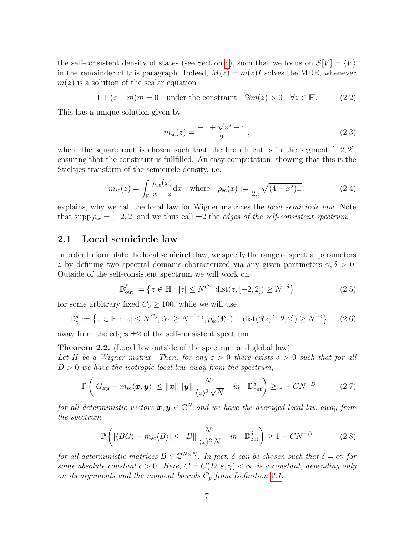the self-consistent density of states (see Section [4\)](#page-12-0), such that we focus on  $\mathcal{S}[V] = \langle V \rangle$ in the remainder of this paragraph. Indeed,  $M(z) = m(z)I$  solves the MDE, whenever  $m(z)$  is a solution of the scalar equation

<span id="page-6-3"></span>
$$
1 + (z + m)m = 0 \quad \text{under the constraint} \quad \Im m(z) > 0 \quad \forall z \in \mathbb{H}. \tag{2.2}
$$

This has a unique solution given by

$$
m_{\rm sc}(z) = \frac{-z + \sqrt{z^2 - 4}}{2},\tag{2.3}
$$

where the square root is chosen such that the branch cut is in the segment  $[-2, 2]$ , ensuring that the constraint is fullfilled. An easy computation, showing that this is the Stieltjes transform of the semicircle density, i.e.

<span id="page-6-0"></span>
$$
m_{\rm sc}(z) = \int_{\mathbb{R}} \frac{\rho_{\rm sc}(x)}{x - z} dx \quad \text{where} \quad \rho_{\rm sc}(x) := \frac{1}{2\pi} \sqrt{(4 - x^2)_+} \,, \tag{2.4}
$$

explains, why we call the local law for Wigner matrices the *local semicircle law*. Note that supp  $\rho_{\rm sc} = [-2, 2]$  and we thus call  $\pm 2$  the *edges of the self-consistent spectrum*.

### 2.1 Local semicircle law

In order to formulate the local semicircle law, we specify the range of spectral parameters z by defining two spectral domains characterized via any given parameters  $\gamma, \delta > 0$ . Outside of the self-consistent spectrum we will work on

$$
\mathbb{D}_{\text{out}}^{\delta} := \left\{ z \in \mathbb{H} : |z| \le N^{C_0}, \text{dist}(z, [-2, 2]) \ge N^{-\delta} \right\}
$$
 (2.5)

for some arbitrary fixed  $C_0 \geq 100$ , while we will use

$$
\mathbb{D}_{\gamma}^{\delta} := \left\{ z \in \mathbb{H} : |z| \le N^{C_0}, \Im z \ge N^{-1+\gamma}, \rho_{\rm sc}(\Re z) + \text{dist}(\Re z, [-2, 2]) \ge N^{-\delta} \right\} \tag{2.6}
$$

away from the edges  $\pm 2$  of the self-consistent spectrum.

<span id="page-6-1"></span>Theorem 2.2. (Local law outside of the spectrum and global law)

Let H be a Wigner matrix. Then, for any  $\varepsilon > 0$  there exists  $\delta > 0$  such that for all  $D > 0$  we have the isotropic local law away from the spectrum,

<span id="page-6-4"></span>
$$
\mathbb{P}\left(|G_{\boldsymbol{x}\boldsymbol{y}} - m_{\mathrm{sc}}\langle \boldsymbol{x}, \boldsymbol{y}\rangle| \le ||\boldsymbol{x}|| \, ||\boldsymbol{y}|| \, \frac{N^{\varepsilon}}{\langle z \rangle^{2} \, \sqrt{N}} \quad in \quad \mathbb{D}_{\mathrm{out}}^{\delta}\right) \ge 1 - CN^{-D} \tag{2.7}
$$

for all deterministic vectors  $\boldsymbol{x},\boldsymbol{y}\in\mathbb{C}^N$  and we have the averaged local law away from the spectrum

<span id="page-6-2"></span>
$$
\mathbb{P}\left(\left|\langle BG\rangle - m_{\rm sc}\langle B\rangle\right| \le \|B\| \frac{N^{\varepsilon}}{\langle z\rangle^{2} N} \quad in \quad \mathbb{D}_{\rm out}^{\delta}\right) \ge 1 - CN^{-D} \tag{2.8}
$$

for all deterministic matrices  $B \in \mathbb{C}^{N \times N}$ . In fact,  $\delta$  can be chosen such that  $\delta = c\gamma$  for some absolute constant  $c > 0$ . Here,  $C = C(D, \varepsilon, \gamma) < \infty$  is a constant, depending only on its arguments and the moment bounds  $C_p$  from Definition [2.1.](#page-5-1)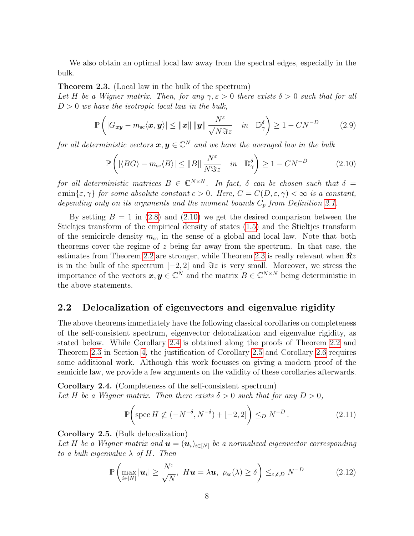We also obtain an optimal local law away from the spectral edges, especially in the bulk.

#### <span id="page-7-0"></span>Theorem 2.3. (Local law in the bulk of the spectrum)

Let H be a Wigner matrix. Then, for any  $\gamma, \varepsilon > 0$  there exists  $\delta > 0$  such that for all  $D > 0$  we have the isotropic local law in the bulk,

<span id="page-7-4"></span>
$$
\mathbb{P}\left(|G_{\boldsymbol{x}\boldsymbol{y}}-m_{\mathrm{sc}}\langle \boldsymbol{x},\boldsymbol{y}\rangle|\leq \|\boldsymbol{x}\|\|\boldsymbol{y}\|\frac{N^{\varepsilon}}{\sqrt{N\Im z}}\quad in\quad \mathbb{D}_{\gamma}^{\delta}\right)\geq 1-CN^{-D}\tag{2.9}
$$

for all deterministic vectors  $\boldsymbol{x},\boldsymbol{y}\in\mathbb{C}^N$  and we have the averaged law in the bulk

<span id="page-7-3"></span>
$$
\mathbb{P}\left(\left|\langle BG\rangle - m_{\rm sc}\langle B\rangle\right| \le \|B\| \frac{N^{\varepsilon}}{N\Im z} \quad in \quad \mathbb{D}_{\gamma}^{\delta}\right) \ge 1 - CN^{-D} \tag{2.10}
$$

for all deterministic matrices  $B \in \mathbb{C}^{N \times N}$ . In fact,  $\delta$  can be chosen such that  $\delta =$ c min $\{\varepsilon, \gamma\}$  for some absolute constant  $c > 0$ . Here,  $C = C(D, \varepsilon, \gamma) < \infty$  is a constant, depending only on its arguments and the moment bounds  $C_p$  from Definition [2.1.](#page-5-1)

By setting  $B = 1$  in [\(2.8\)](#page-6-2) and [\(2.10\)](#page-7-3) we get the desired comparison between the Stieltjes transform of the empirical density of states [\(1.5\)](#page-3-0) and the Stieltjes transform of the semicircle density  $m_{\rm sc}$  in the sense of a global and local law. Note that both theorems cover the regime of z being far away from the spectrum. In that case, the estimates from Theorem [2.2](#page-6-1) are stronger, while Theorem [2.3](#page-7-0) is really relevant when  $\Re z$ is in the bulk of the spectrum  $[-2, 2]$  and  $\Im z$  is very small. Moreover, we stress the importance of the vectors  $x, y \in \mathbb{C}^N$  and the matrix  $B \in \mathbb{C}^{N \times N}$  being deterministic in the above statements.

### 2.2 Delocalization of eigenvectors and eigenvalue rigidity

The above theorems immediately have the following classical corollaries on completeness of the self-consistent spectrum, eigenvector delocalization and eigenvalue rigidity, as stated below. While Corollary [2.4](#page-7-1) is obtained along the proofs of Theorem [2.2](#page-6-1) and Theorem [2.3](#page-7-0) in Section [4,](#page-12-0) the justification of Corollary [2.5](#page-7-2) and Corollary [2.6](#page-8-1) requires some additional work. Although this work focusses on giving a modern proof of the semicirle law, we provide a few arguments on the validity of these corollaries afterwards.

<span id="page-7-1"></span>Corollary 2.4. (Completeness of the self-consistent spectrum) Let H be a Wigner matrix. Then there exists  $\delta > 0$  such that for any  $D > 0$ ,

$$
\mathbb{P}\bigg(\text{spec}\,H\not\subset(-N^{-\delta},N^{-\delta})+[-2,2]\bigg)\leq_D N^{-D}\,. \tag{2.11}
$$

<span id="page-7-2"></span>Corollary 2.5. (Bulk delocalization)

Let H be a Wigner matrix and  $\mathbf{u} = (\mathbf{u}_i)_{i \in [N]}$  be a normalized eigenvector corresponding to a bulk eigenvalue  $\lambda$  of H. Then

$$
\mathbb{P}\left(\max_{i\in[N]}|\mathbf{u}_i|\geq\frac{N^{\varepsilon}}{\sqrt{N}},\ H\mathbf{u}=\lambda\mathbf{u},\ \rho_{\rm sc}(\lambda)\geq\delta\right)\leq_{\varepsilon,\delta,D}N^{-D}\tag{2.12}
$$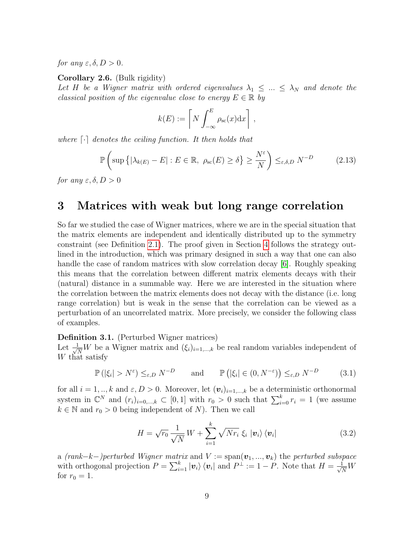for any  $\varepsilon, \delta, D > 0$ .

<span id="page-8-1"></span>Corollary 2.6. (Bulk rigidity)

Let H be a Wigner matrix with ordered eigenvalues  $\lambda_1 \leq ... \leq \lambda_N$  and denote the classical position of the eigenvalue close to energy  $E \in \mathbb{R}$  by

$$
k(E) := \left[ N \int_{-\infty}^{E} \rho_{\rm sc}(x) dx \right],
$$

where  $\lceil \cdot \rceil$  denotes the ceiling function. It then holds that

$$
\mathbb{P}\left(\sup\left\{|\lambda_{k(E)} - E| : E \in \mathbb{R}, \ \rho_{\rm sc}(E) \ge \delta\right\} \ge \frac{N^{\varepsilon}}{N}\right) \le_{\varepsilon, \delta, D} N^{-D} \tag{2.13}
$$

for any  $\varepsilon, \delta, D > 0$ 

## <span id="page-8-0"></span>3 Matrices with weak but long range correlation

So far we studied the case of Wigner matrices, where we are in the special situation that the matrix elements are independent and identically distributed up to the symmetry constraint (see Definition [2.1\)](#page-5-1). The proof given in Section [4](#page-12-0) follows the strategy outlined in the introduction, which was primary designed in such a way that one can also handle the case of random matrices with slow correlation decay [\[6\]](#page-27-4). Roughly speaking this means that the correlation between different matrix elements decays with their (natural) distance in a summable way. Here we are interested in the situation where the correlation between the matrix elements does not decay with the distance (i.e. long range correlation) but is weak in the sense that the correlation can be viewed as a perturbation of an uncorrelated matrix. More precisely, we consider the following class of examples.

<span id="page-8-3"></span>Definition 3.1. (Perturbed Wigner matrices)

Let  $\frac{1}{\sqrt{N}}W$  be a Wigner matrix and  $(\xi_i)_{i=1,\dots,k}$  be real random variables independent of W that satisfy

<span id="page-8-4"></span>
$$
\mathbb{P}(|\xi_i| > N^{\varepsilon}) \leq_{\varepsilon,D} N^{-D} \quad \text{and} \quad \mathbb{P}(|\xi_i| \in (0, N^{-\varepsilon})) \leq_{\varepsilon,D} N^{-D} \quad (3.1)
$$

for all  $i = 1, ..., k$  and  $\varepsilon, D > 0$ . Moreover, let  $(v_i)_{i=1,...,k}$  be a deterministic orthonormal system in  $\mathbb{C}^N$  and  $(r_i)_{i=0,\dots,k} \subset [0,1]$  with  $r_0 > 0$  such that  $\sum_{i=0}^k r_i = 1$  (we assume  $k \in \mathbb{N}$  and  $r_0 > 0$  being independent of N). Then we call

<span id="page-8-2"></span>
$$
H = \sqrt{r_0} \frac{1}{\sqrt{N}} W + \sum_{i=1}^{k} \sqrt{N r_i} \xi_i |v_i\rangle \langle v_i|
$$
 (3.2)

a (rank–k–)perturbed Wigner matrix and  $V := \text{span}(\boldsymbol{v}_1, ..., \boldsymbol{v}_k)$  the perturbed subspace with orthogonal projection  $P = \sum_{i=1}^{k} |\mathbf{v}_i\rangle \langle \mathbf{v}_i|$  and  $P^{\perp} := 1 - P$ . Note that  $H = \frac{1}{\sqrt{N}}W$ for  $r_0 = 1$ .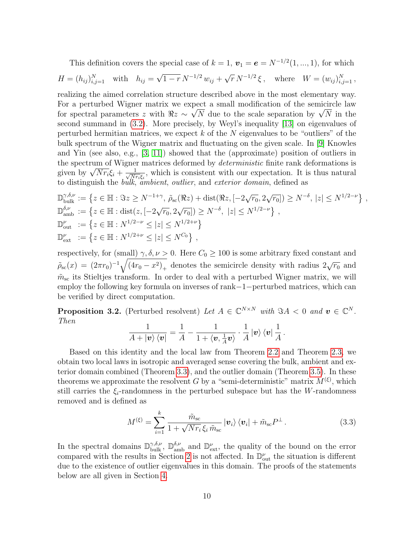This definition covers the special case of  $k = 1$ ,  $\mathbf{v}_1 = \mathbf{e} = N^{-1/2}(1, ..., 1)$ , for which

$$
H = (h_{ij})_{i,j=1}^N \text{ with } h_{ij} = \sqrt{1-r} N^{-1/2} w_{ij} + \sqrt{r} N^{-1/2} \xi, \text{ where } W = (w_{ij})_{i,j=1}^N,
$$

realizing the aimed correlation structure described above in the most elementary way. For a perturbed Wigner matrix we expect a small modification of the semicircle law for a perturbed wigher matrix we expect a small modification of the semicircle law<br>for spectral parameters z with  $\Re z \sim \sqrt{N}$  due to the scale separation by  $\sqrt{N}$  in the second summand in [\(3.2\)](#page-8-2). More precisely, by Weyl's inequality [\[13\]](#page-27-6) on eigenvalues of perturbed hermitian matrices, we expect  $k$  of the  $N$  eigenvalues to be "outliers" of the bulk spectrum of the Wigner matrix and fluctuating on the given scale. In [\[9\]](#page-27-7) Knowles and Yin (see also, e.g.,  $[3, 11]$  $[3, 11]$ ) showed that the (approximate) position of outliers in the spectrum of Wigner matrices deformed by *deterministic* finite rank deformations is the spectrum of wigner<br>given by  $\sqrt{N r_i \xi_i + \frac{1}{\sqrt{N}i}}$  $\frac{1}{N r_i \xi_i}$ , which is consistent with our expectation. It is thus natural to distinguish the *bulk*, *ambient*, *outlier*, and *exterior domain*, defined as

$$
\mathbb{D}_{\text{bulk}}^{\gamma,\delta,\nu} := \left\{ z \in \mathbb{H} : \Im z \ge N^{-1+\gamma}, \, \tilde{\rho}_{\text{sc}}(\Re z) + \text{dist}(\Re z, [-2\sqrt{r_0}, 2\sqrt{r_0}]) \ge N^{-\delta}, \, |z| \le N^{1/2-\nu} \right\},
$$
  
\n
$$
\mathbb{D}_{\text{amb}}^{\delta,\nu} := \left\{ z \in \mathbb{H} : \text{dist}(z, [-2\sqrt{r_0}, 2\sqrt{r_0}]) \ge N^{-\delta}, \, |z| \le N^{1/2-\nu} \right\},
$$
  
\n
$$
\mathbb{D}_{\text{out}}^{\nu} := \left\{ z \in \mathbb{H} : N^{1/2-\nu} \le |z| \le N^{1/2+\nu} \right\}
$$
  
\n
$$
\mathbb{D}_{\text{ext}}^{\nu} := \left\{ z \in \mathbb{H} : N^{1/2+\nu} \le |z| \le N^{C_0} \right\},
$$

respectively, for (small)  $\gamma$ ,  $\delta$ ,  $\nu > 0$ . Here  $C_0 \ge 100$  is some arbitrary fixed constant and  $\rho_{\rm sc}(x) = (2\pi r_0)^{-1} \sqrt{(4r_0 - x^2)_+}$  denotes the semicircle density with radius  $2\sqrt{r_0}$  and  $\tilde{m}_{\rm sc}$  its Stieltjes transform. In order to deal with a perturbed Wigner matrix, we will employ the following key formula on inverses of rank−1−perturbed matrices, which can be verified by direct computation.

<span id="page-9-0"></span>**Proposition 3.2.** (Perturbed resolvent) Let  $A \in \mathbb{C}^{N \times N}$  with  $\Im A < 0$  and  $v \in \mathbb{C}^{N}$ . Then

$$
\frac{1}{A+|\mathbf{v}\rangle\langle\mathbf{v}|}=\frac{1}{A}-\frac{1}{1+\langle\mathbf{v},\frac{1}{A}\mathbf{v}\rangle}\cdot\frac{1}{A}|\mathbf{v}\rangle\langle\mathbf{v}|\frac{1}{A}.
$$

Based on this identity and the local law from Theorem [2.2](#page-6-1) and Theorem [2.3,](#page-7-0) we obtain two local laws in isotropic and averaged sense covering the bulk, ambient and exterior domain combined (Theorem [3.3\)](#page-10-0), and the outlier domain (Theorem [3.5\)](#page-11-1). In these theorems we approximate the resolvent G by a "semi-deterministic" matrix  $M^{(\xi)}$ , which still carries the  $\xi_i$ -randomness in the perturbed subspace but has the W-randomness removed and is defined as

$$
M^{(\xi)} = \sum_{i=1}^{k} \frac{\tilde{m}_{\rm sc}}{1 + \sqrt{N r_i} \, \xi_i \, \tilde{m}_{\rm sc}} \left| \boldsymbol{v}_i \right\rangle \left\langle \boldsymbol{v}_i \right| + \tilde{m}_{\rm sc} P^{\perp} \,. \tag{3.3}
$$

In the spectral domains  $\mathbb{D}_{\text{bulk}}^{\gamma,\delta,\nu}$ ,  $\mathbb{D}_{\text{amb}}^{\delta,\nu}$  and  $\mathbb{D}_{\text{ext}}^{\nu}$ , the quality of the bound on the error compared with the results in Section [2](#page-5-0) is not affected. In  $\mathbb{D}^{\nu}_{\text{out}}$  the situation is different due to the existence of outlier eigenvalues in this domain. The proofs of the statements below are all given in Section [4.](#page-12-0)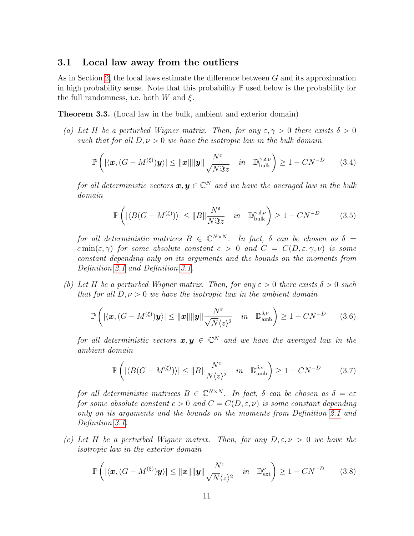### 3.1 Local law away from the outliers

As in Section [2,](#page-5-0) the local laws estimate the difference between G and its approximation in high probability sense. Note that this probability  $\mathbb P$  used below is the probability for the full randomness, i.e. both W and  $\xi$ .

<span id="page-10-0"></span>Theorem 3.3. (Local law in the bulk, ambient and exterior domain)

(a) Let H be a perturbed Wigner matrix. Then, for any  $\varepsilon, \gamma > 0$  there exists  $\delta > 0$ such that for all  $D, \nu > 0$  we have the isotropic law in the bulk domain

<span id="page-10-3"></span>
$$
\mathbb{P}\left(\left|\langle\boldsymbol{x},(G-M^{(\xi)})\boldsymbol{y}\rangle\right|\leq\|\boldsymbol{x}\|\|\boldsymbol{y}\|\frac{N^{\varepsilon}}{\sqrt{N\Im z}}\quad in\quad\mathbb{D}_{\text{bulk}}^{\gamma,\delta,\nu}\right)\geq 1-CN^{-D}\qquad(3.4)
$$

for all deterministic vectors  $\boldsymbol{x},\boldsymbol{y}\in\mathbb{C}^N$  and we have the averaged law in the bulk domain

<span id="page-10-1"></span>
$$
\mathbb{P}\left(\left|\langle B(G - M^{(\xi)})\rangle\right| \le ||B|| \frac{N^{\varepsilon}}{N\Im z} \quad in \quad \mathbb{D}_{\text{bulk}}^{\gamma,\delta,\nu}\right) \ge 1 - CN^{-D} \tag{3.5}
$$

for all deterministic matrices  $B \in \mathbb{C}^{N \times N}$ . In fact,  $\delta$  can be chosen as  $\delta =$  $c \min(\varepsilon, \gamma)$  for some absolute constant  $c > 0$  and  $C = C(D, \varepsilon, \gamma, \nu)$  is some constant depending only on its arguments and the bounds on the moments from Definition [2.1](#page-5-1) and Definition [3.1.](#page-8-3)

(b) Let H be a perturbed Wigner matrix. Then, for any  $\varepsilon > 0$  there exists  $\delta > 0$  such that for all  $D, \nu > 0$  we have the isotropic law in the ambient domain

<span id="page-10-4"></span>
$$
\mathbb{P}\left(\left|\langle\boldsymbol{x},(G-M^{(\xi)})\boldsymbol{y}\rangle\right|\leq\|\boldsymbol{x}\|\|\boldsymbol{y}\|\frac{N^{\varepsilon}}{\sqrt{N}\langle z\rangle^{2}}\quad in\quad \mathbb{D}_{\text{amb}}^{\delta,\nu}\right)\geq 1-CN^{-D}\qquad(3.6)
$$

for all deterministic vectors  $\boldsymbol{x},\boldsymbol{y}\,\in\,\mathbb{C}^N$  and we have the averaged law in the ambient domain

<span id="page-10-2"></span>
$$
\mathbb{P}\left(\left|\langle B(G - M^{(\xi)})\rangle\right| \le ||B|| \frac{N^{\varepsilon}}{N\langle z \rangle^{2}} \quad in \quad \mathbb{D}_{\text{amb}}^{\delta,\nu}\right) \ge 1 - CN^{-D} \tag{3.7}
$$

for all deterministic matrices  $B \in \mathbb{C}^{N \times N}$ . In fact,  $\delta$  can be chosen as  $\delta = c\varepsilon$ for some absolute constant  $c > 0$  and  $C = C(D, \varepsilon, \nu)$  is some constant depending only on its arguments and the bounds on the moments from Definition [2.1](#page-5-1) and Definition [3.1.](#page-8-3)

(c) Let H be a perturbed Wigner matrix. Then, for any  $D, \varepsilon, \nu > 0$  we have the isotropic law in the exterior domain

<span id="page-10-5"></span>
$$
\mathbb{P}\left(\left|\langle\boldsymbol{x},(G-M^{(\xi)})\boldsymbol{y}\rangle\right|\leq\|\boldsymbol{x}\|\|\boldsymbol{y}\|\frac{N^{\varepsilon}}{\sqrt{N}\langle z\rangle^{2}}\quad in\quad\mathbb{D}_{\text{ext}}^{\nu}\right)\geq1-CN^{-D}\qquad(3.8)
$$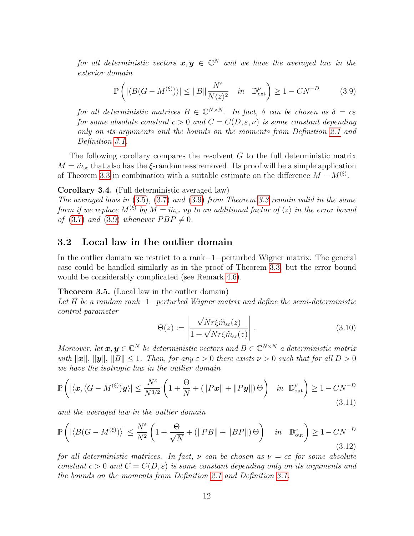for all deterministic vectors  $\boldsymbol{x},\boldsymbol{y}\,\in\,\mathbb{C}^N$  and we have the averaged law in the exterior domain

<span id="page-11-2"></span>
$$
\mathbb{P}\left(\left|\langle B(G - M^{(\xi)})\rangle\right| \le ||B|| \frac{N^{\varepsilon}}{N\langle z \rangle^{2}} \quad in \quad \mathbb{D}_{\text{ext}}^{\nu}\right) \ge 1 - CN^{-D} \tag{3.9}
$$

for all deterministic matrices  $B \in \mathbb{C}^{N \times N}$ . In fact,  $\delta$  can be chosen as  $\delta = c\varepsilon$ for some absolute constant  $c > 0$  and  $C = C(D, \varepsilon, \nu)$  is some constant depending only on its arguments and the bounds on the moments from Definition [2.1](#page-5-1) and Definition [3.1.](#page-8-3)

The following corollary compares the resolvent  $G$  to the full deterministic matrix  $M = \tilde{m}_{\rm sc}$  that also has the  $\xi$ -randomness removed. Its proof will be a simple application of Theorem [3.3](#page-10-0) in combination with a suitable estimate on the difference  $M - M^{(\xi)}$ .

<span id="page-11-0"></span>Corollary 3.4. (Full deterministic averaged law)

The averaged laws in  $(3.5)$ ,  $(3.7)$  and  $(3.9)$  from Theorem [3.3](#page-10-0) remain valid in the same form if we replace  $M^{(\xi)}$  by  $M = \tilde{m}_{\rm sc}$  up to an additional factor of  $\langle z \rangle$  in the error bound of [\(3.7\)](#page-10-2) and [\(3.9\)](#page-11-2) whenever  $PBP \neq 0$ .

### 3.2 Local law in the outlier domain

In the outlier domain we restrict to a rank−1−perturbed Wigner matrix. The general case could be handled similarly as in the proof of Theorem [3.3,](#page-10-0) but the error bound would be considerably complicated (see Remark [4.6\)](#page-25-0).

#### <span id="page-11-1"></span>Theorem 3.5. (Local law in the outlier domain)

Let H be a random rank−1−perturbed Wigner matrix and define the semi-deterministic control parameter

<span id="page-11-4"></span>
$$
\Theta(z) := \left| \frac{\sqrt{Nr}\xi \tilde{m}_{\rm sc}(z)}{1 + \sqrt{Nr}\xi \tilde{m}_{\rm sc}(z)} \right|.
$$
\n(3.10)

Moreover, let  $\boldsymbol{x}, \boldsymbol{y} \in \mathbb{C}^N$  be deterministic vectors and  $B \in \mathbb{C}^{N \times N}$  a deterministic matrix with  $\|\mathbf{x}\|$ ,  $\|\mathbf{y}\|$ ,  $\|B\| \leq 1$ . Then, for any  $\varepsilon > 0$  there exists  $\nu > 0$  such that for all  $D > 0$ we have the isotropic law in the outlier domain

$$
\mathbb{P}\left(\left|\langle\boldsymbol{x},(G-M^{(\xi)})\boldsymbol{y}\rangle\right|\leq \frac{N^{\varepsilon}}{N^{3/2}}\left(1+\frac{\Theta}{N}+\left(\|P\boldsymbol{x}\|+\|P\boldsymbol{y}\|\right)\Theta\right) \quad in \quad \mathbb{D}_{\text{out}}^{\nu}\right)\geq 1-CN^{-D}
$$
\n(3.11)

and the averaged law in the outlier domain

<span id="page-11-3"></span>
$$
\mathbb{P}\left(\left|\langle B(G - M^{(\xi)})\rangle\right| \le \frac{N^{\varepsilon}}{N^2} \left(1 + \frac{\Theta}{\sqrt{N}} + \left(\|PB\| + \|BP\|\right)\Theta\right) \quad in \quad \mathbb{D}_{\text{out}}^{\nu}\right) \ge 1 - CN^{-D}
$$
\n(3.12)

for all deterministic matrices. In fact,  $\nu$  can be chosen as  $\nu = c \epsilon$  for some absolute constant  $c > 0$  and  $C = C(D, \varepsilon)$  is some constant depending only on its arguments and the bounds on the moments from Definition [2.1](#page-5-1) and Definition [3.1.](#page-8-3)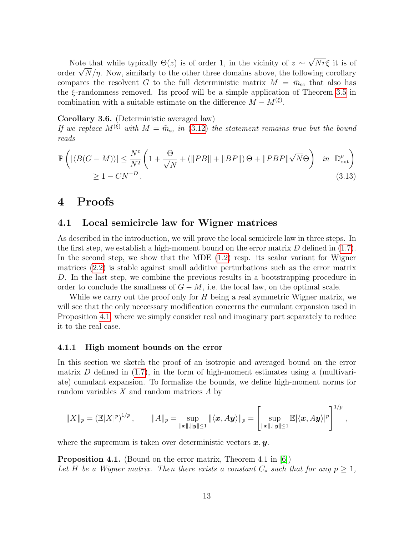Note that while typically  $\Theta(z)$  is of order 1, in the vicinity of  $z \sim$ √  $Nr\xi$  it is of Note that while typically  $\Theta(z)$  is of order 1, in the vicinity of  $z \sim \sqrt{N}r\zeta$  it is of order  $\sqrt{N}/\eta$ . Now, similarly to the other three domains above, the following corollary compares the resolvent G to the full deterministic matrix  $M = \tilde{m}_{sc}$  that also has the  $\xi$ -randomness removed. Its proof will be a simple application of Theorem [3.5](#page-11-1) in combination with a suitable estimate on the difference  $M - M^{(\xi)}$ .

<span id="page-12-2"></span>Corollary 3.6. (Deterministic averaged law)

If we replace  $M^{(\xi)}$  with  $M = \tilde{m}_{\rm sc}$  in [\(3.12\)](#page-11-3) the statement remains true but the bound reads

$$
\mathbb{P}\left(\left|\langle B(G-M)\rangle\right|\leq \frac{N^{\varepsilon}}{N^{2}}\left(1+\frac{\Theta}{\sqrt{N}}+\left(\|PB\|+\|BP\|\right)\Theta+\|PBP\|\sqrt{N}\Theta\right) \quad in \quad \mathbb{D}_{\text{out}}^{\nu}\right) \geq 1-CN^{-D}.
$$
\n(3.13)

## <span id="page-12-0"></span>4 Proofs

## 4.1 Local semicircle law for Wigner matrices

As described in the introduction, we will prove the local semicircle law in three steps. In the first step, we establish a high-moment bound on the error matrix  $D$  defined in [\(1.7\)](#page-3-1). In the second step, we show that the MDE  $(1.2)$  resp. its scalar variant for Wigner matrices [\(2.2\)](#page-6-3) is stable against small additive perturbations such as the error matrix D. In the last step, we combine the previous results in a bootstrapping procedure in order to conclude the smallness of  $G - M$ , i.e. the local law, on the optimal scale.

While we carry out the proof only for  $H$  being a real symmetric Wigner matrix, we will see that the only neccessary modification concerns the cumulant expansion used in Proposition [4.1,](#page-12-1) where we simply consider real and imaginary part separately to reduce it to the real case.

#### 4.1.1 High moment bounds on the error

In this section we sketch the proof of an isotropic and averaged bound on the error matrix D defined in  $(1.7)$ , in the form of high-moment estimates using a (multivariate) cumulant expansion. To formalize the bounds, we define high-moment norms for random variables  $X$  and random matrices  $A$  by

$$
||X||_p = \left(\mathbb{E}|X|^p\right)^{1/p}, \qquad ||A||_p = \sup_{||\boldsymbol{x}||, ||\boldsymbol{y}|| \le 1} ||\langle \boldsymbol{x}, A\boldsymbol{y} \rangle||_p = \left[\sup_{||\boldsymbol{x}||, ||\boldsymbol{y}|| \le 1} \mathbb{E}|\langle \boldsymbol{x}, A\boldsymbol{y} \rangle|^p\right]^{1/p},
$$

where the supremum is taken over deterministic vectors  $x, y$ .

<span id="page-12-1"></span>Proposition 4.1. (Bound on the error matrix, Theorem 4.1 in [\[6\]](#page-27-4)) Let H be a Wigner matrix. Then there exists a constant  $C_*$  such that for any  $p \geq 1$ ,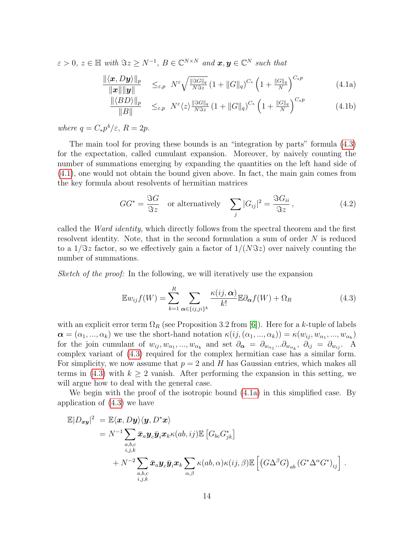$\varepsilon > 0, z \in \mathbb{H}$  with  $\Im z \ge N^{-1}, B \in \mathbb{C}^{N \times N}$  and  $\boldsymbol{x}, \boldsymbol{y} \in \mathbb{C}^{N}$  such that

<span id="page-13-2"></span>
$$
\frac{\|\langle \boldsymbol{x}, D\boldsymbol{y} \rangle\|_{p}}{\|\boldsymbol{x}\| \|\boldsymbol{y}\|} \leq_{\varepsilon, p} N^{\varepsilon} \sqrt{\frac{\|\Im G\|_{q}}{N \Im z}} \left(1 + \|G\|_{q}\right)^{C_{*}} \left(1 + \frac{\|G\|_{q}}{N}\right)^{C_{*} p} \tag{4.1a}
$$

<span id="page-13-1"></span>
$$
\frac{\|\langle BD\rangle\|_p}{\|B\|} \leq_{\varepsilon,p} N^{\varepsilon} \langle z \rangle \frac{\|S G\|_q}{N S z} \left(1 + \|G\|_q\right)^{C_*} \left(1 + \frac{\|G\|_q}{N}\right)^{C_* p} \tag{4.1b}
$$

where  $q = C_* p^4 / \varepsilon$ ,  $R = 2p$ .

The main tool for proving these bounds is an "integration by parts" formula [\(4.3\)](#page-13-0) for the expectation, called cumulant expansion. Moreover, by naively counting the number of summations emerging by expanding the quantities on the left hand side of [\(4.1\)](#page-13-1), one would not obtain the bound given above. In fact, the main gain comes from the key formula about resolvents of hermitian matrices

<span id="page-13-3"></span>
$$
GG^* = \frac{\Im G}{\Im z} \quad \text{or alternatively} \quad \sum_j |G_{ij}|^2 = \frac{\Im G_{ii}}{\Im z}, \tag{4.2}
$$

called the *Ward identity*, which directly follows from the spectral theorem and the first resolvent identity. Note, that in the second formulation a sum of order N is reduced to a  $1/\Im z$  factor, so we effectively gain a factor of  $1/(N\Im z)$  over naively counting the number of summations.

Sketch of the proof: In the following, we will iteratively use the expansion

<span id="page-13-0"></span>
$$
\mathbb{E}w_{ij}f(W) = \sum_{k=1}^{R} \sum_{\alpha \in \{ij, ji\}^k} \frac{\kappa(ij, \alpha)}{k!} \mathbb{E} \partial_{\alpha}f(W) + \Omega_R
$$
 (4.3)

with an explicit error term  $\Omega_R$  (see Proposition 3.2 from [\[6\]](#page-27-4)). Here for a k-tuple of labels  $\boldsymbol{\alpha} = (\alpha_1, ..., \alpha_k)$  we use the short-hand notation  $\kappa(ij, (\alpha_1, ..., \alpha_k)) = \kappa(w_{ij}, w_{\alpha_1}, ..., w_{\alpha_k})$ for the join cumulant of  $w_{ij}, w_{\alpha_1}, ..., w_{\alpha_k}$  and set  $\partial_{\alpha} = \partial_{w_{\alpha_1}} ... \partial_{w_{\alpha_k}}$ ,  $\partial_{ij} = \partial_{w_{ij}}$ . A complex variant of [\(4.3\)](#page-13-0) required for the complex hermitian case has a similar form. For simplicity, we now assume that  $p = 2$  and H has Gaussian entries, which makes all terms in [\(4.3\)](#page-13-0) with  $k \geq 2$  vanish. After performing the expansion in this setting, we will argue how to deal with the general case.

We begin with the proof of the isotropic bound [\(4.1a\)](#page-13-2) in this simplified case. By application of [\(4.3\)](#page-13-0) we have

$$
\mathbb{E}|D_{xy}|^2 = \mathbb{E}\langle x, Dy\rangle\langle y, D^*x\rangle
$$
  
=  $N^{-1}\sum_{\substack{a,b,c\\i,j,k}} \bar{x}_a y_c \bar{y}_i x_k \kappa(ab,ij)\mathbb{E}\left[G_{bc}G_{jk}^*\right]$   
+  $N^{-2}\sum_{\substack{a,b,c\\i,j,k}} \bar{x}_a y_c \bar{y}_i x_k \sum_{\alpha,\beta} \kappa(ab,\alpha)\kappa(ij,\beta)\mathbb{E}\left[\left(G\Delta^{\beta}G\right)_{ab}\left(G^*\Delta^{\alpha}G^*\right)_{ij}\right].$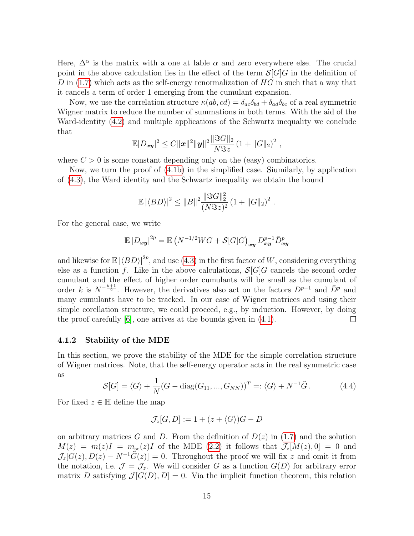Here,  $\Delta^{\alpha}$  is the matrix with a one at lable  $\alpha$  and zero everywhere else. The crucial point in the above calculation lies in the effect of the term  $S[G]G$  in the definition of D in  $(1.7)$  which acts as the self-energy renormalization of HG in such that a way that it cancels a term of order 1 emerging from the cumulant expansion.

Now, we use the correlation structure  $\kappa(ab, cd) = \delta_{ac}\delta_{bd} + \delta_{ad}\delta_{bc}$  of a real symmetric Wigner matrix to reduce the number of summations in both terms. With the aid of the Ward-identity [\(4.2\)](#page-13-3) and multiple applications of the Schwartz inequality we conclude that

$$
\mathbb{E}|D_{xy}|^2 \leq C||x||^2||y||^2 \frac{\|\Im G\|_2}{N\Im z} (1+||G||_2)^2,
$$

where  $C > 0$  is some constant depending only on the (easy) combinatorics.

Now, we turn the proof of [\(4.1b\)](#page-13-2) in the simplified case. Siumilarly, by application of [\(4.3\)](#page-13-0), the Ward identity and the Schwartz inequality we obtain the bound

$$
\mathbb{E} |\langle BD \rangle|^2 \leq ||B||^2 \frac{||\Im G||_2^2}{(N \Im z)^2} (1 + ||G||_2)^2.
$$

For the general case, we write

$$
\mathbb{E}|D_{xy}|^{2p} = \mathbb{E}\left(N^{-1/2}WG + \mathcal{S}[G]G\right)_{xy}D_{xy}^{p-1}\overline{D}_{xy}^p
$$

and likewise for  $\mathbb{E} |\langle BD \rangle|^{2p}$ , and use [\(4.3\)](#page-13-0) in the first factor of W, considering everything else as a function f. Like in the above calculations,  $S[G]G$  cancels the second order cumulant and the effect of higher order cumulants will be small as the cumulant of order k is  $N^{-\frac{k+1}{2}}$ . However, the derivatives also act on the factors  $D^{p-1}$  and  $\bar{D}^p$  and many cumulants have to be tracked. In our case of Wigner matrices and using their simple corellation structure, we could proceed, e.g., by induction. However, by doing the proof carefully [\[6\]](#page-27-4), one arrives at the bounds given in [\(4.1\)](#page-13-1).  $\Box$ 

#### 4.1.2 Stability of the MDE

In this section, we prove the stability of the MDE for the simple correlation structure of Wigner matrices. Note, that the self-energy operator acts in the real symmetric case as

$$
\mathcal{S}[G] = \langle G \rangle + \frac{1}{N} (G - \text{diag}(G_{11}, ..., G_{NN}))^T =: \langle G \rangle + N^{-1} \tilde{G}.
$$
 (4.4)

For fixed  $z \in \mathbb{H}$  define the map

$$
\mathcal{J}_z[G, D] := 1 + (z + \langle G \rangle)G - D
$$

on arbitrary matrices G and D. From the definition of  $D(z)$  in [\(1.7\)](#page-3-1) and the solution  $M(z) = m(z)I = m_{\rm sc}(z)I$  of the MDE [\(2.2\)](#page-6-3) it follows that  $\mathcal{J}_z[M(z), 0] = 0$  and  $\mathcal{J}_z[G(z),D(z)-N^{-1}\tilde{G}(z)]=0.$  Throughout the proof we will fix z and omit it from the notation, i.e.  $\mathcal{J} = \mathcal{J}_z$ . We will consider G as a function  $G(D)$  for arbitrary error matrix D satisfying  $\mathcal{J}[G(D), D] = 0$ . Via the implicit function theorem, this relation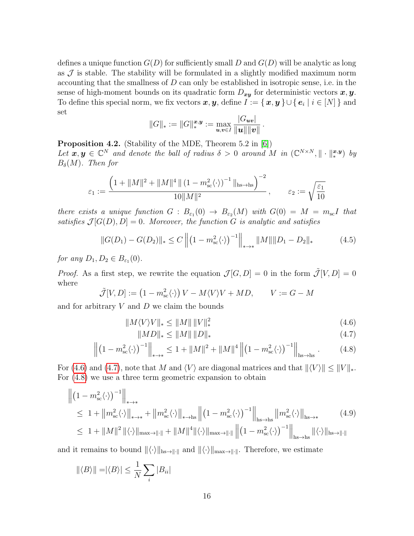defines a unique function  $G(D)$  for sufficiently small D and  $G(D)$  will be analytic as long as  $\mathcal J$  is stable. The stability will be formulated in a slightly modified maximum norm accounting that the smallness of  $D$  can only be established in isotropic sense, i.e. in the sense of high-moment bounds on its quadratic form  $D_{xy}$  for deterministic vectors  $x, y$ . To define this special norm, we fix vectors  $\bm{x}, \bm{y}$ , define  $I := \{ \bm{x}, \bm{y} \} \cup \{ \bm{e}_i \mid i \in [N] \}$  and set

$$
||G||_* := ||G||_*^{\boldsymbol{x},\boldsymbol{y}} := \max_{\boldsymbol{u},\boldsymbol{v}\in I} \frac{|G_{\boldsymbol{uv}}|}{||\boldsymbol{u}|| ||\boldsymbol{v}||}.
$$

<span id="page-15-0"></span>Proposition 4.2. (Stability of the MDE, Theorem 5.2 in [\[6\]](#page-27-4)) Let  $x, y \in \mathbb{C}^N$  and denote the ball of radius  $\delta > 0$  around M in  $(\mathbb{C}^{N \times N}, \|\cdot\|_*^{x,y})$  by  $B_\delta(M)$ . Then for

$$
\varepsilon_1 := \frac{\left(1 + \|M\|^2 + \|M\|^4 \|(1 - m_{\rm sc}^2 \langle \cdot \rangle)^{-1} \|_{\rm hs \to hs}\right)^{-2}}{10\|M\|^2}, \qquad \varepsilon_2 := \sqrt{\frac{\varepsilon_1}{10}}
$$

there exists a unique function  $G : B_{\varepsilon_1}(0) \to B_{\varepsilon_2}(M)$  with  $G(0) = M = m_{\rm sc}I$  that satisfies  $\mathcal{J}[G(D), D] = 0$ . Moreover, the function G is analytic and satisfies

<span id="page-15-5"></span>
$$
||G(D_1) - G(D_2)||_* \le C ||(1 - m_{\rm sc}^2 \langle \cdot \rangle)^{-1}||_{* \to *} ||M|| ||D_1 - D_2||_* \tag{4.5}
$$

for any  $D_1, D_2 \in B_{\varepsilon_1}(0)$ .

*Proof.* As a first step, we rewrite the equation  $\mathcal{J}[G, D] = 0$  in the form  $\tilde{\mathcal{J}}[V, D] = 0$ where

$$
\tilde{\mathcal{J}}[V,D] := \left(1 - m_{\rm sc}^2 \langle \cdot \rangle\right) V - M \langle V \rangle V + MD, \qquad V := G - M
$$

and for arbitrary  $V$  and  $D$  we claim the bounds

$$
||M\langle V\rangle V||_* \le ||M|| \, ||V||_*^2 \tag{4.6}
$$

<span id="page-15-4"></span><span id="page-15-3"></span><span id="page-15-2"></span><span id="page-15-1"></span>
$$
||MD||_* \le ||M|| \, ||D||_* \tag{4.7}
$$

$$
\left\| \left(1 - m_{\rm sc}^2 \langle \cdot \rangle \right)^{-1} \right\|_{\rm \ast \to \ast} \le 1 + \|M\|^2 + \|M\|^4 \left\| \left(1 - m_{\rm sc}^2 \langle \cdot \rangle \right)^{-1} \right\|_{\rm \scriptscriptstyle hs \to \rm \scriptscriptstyle hs} . \tag{4.8}
$$

For [\(4.6\)](#page-15-1) and [\(4.7\)](#page-15-2), note that M and  $\langle V \rangle$  are diagonal matrices and that  $\| \langle V \rangle \| \leq \| V \|_*$ . For [\(4.8\)](#page-15-3) we use a three term geometric expansion to obtain

$$
\begin{split}\n\left\| \left(1 - m_{\rm sc}^2 \langle \cdot \rangle \right)^{-1} \right\|_{\ast \to \ast} \\
&\leq 1 + \left\| m_{\rm sc}^2 \langle \cdot \rangle \right\|_{\ast \to \ast} + \left\| m_{\rm sc}^2 \langle \cdot \rangle \right\|_{\ast \to \mathrm{hs}} \left\| \left(1 - m_{\rm sc}^2 \langle \cdot \rangle \right)^{-1} \right\|_{\mathrm{hs}\to \mathrm{hs}} \left\| m_{\rm sc}^2 \langle \cdot \rangle \right\|_{\mathrm{hs}\to \ast} \\
&\leq 1 + \left\| M \right\|^2 \left\| \langle \cdot \rangle \right\|_{\mathrm{max}\to \parallel \cdot \parallel} + \left\| M \right\|^4 \left\| \langle \cdot \rangle \right\|_{\mathrm{max}\to \parallel \cdot \parallel} \left\| \left(1 - m_{\rm sc}^2 \langle \cdot \rangle \right)^{-1} \right\|_{\mathrm{hs}\to \mathrm{hs}} \left\| \langle \cdot \rangle \right\|_{\mathrm{hs}\to \parallel \cdot \parallel} \n\end{split} \tag{4.9}
$$

and it remains to bound  $\langle \cdot \rangle_{\|_{\text{ms}\to\| \cdot \|}}$  and  $\langle \cdot \rangle_{\|_{\text{max}\to\| \cdot \|}}$ . Therefore, we estimate

$$
\|\langle B \rangle\| = |\langle B \rangle| \le \frac{1}{N} \sum_{i} |B_{ii}|
$$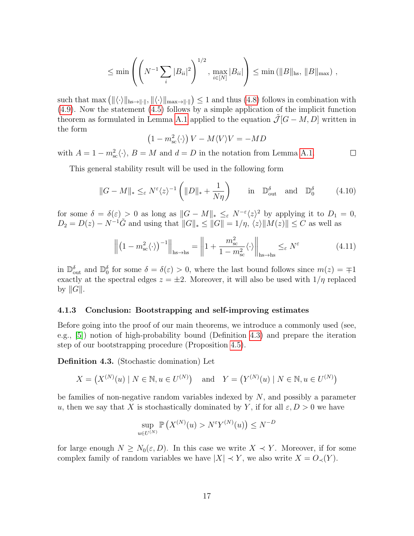$$
\leq \min \left( \left( N^{-1} \sum_{i} |B_{ii}|^2 \right)^{1/2}, \max_{i \in [N]} |B_{ii}| \right) \leq \min \left( ||B||_{\text{hs}}, ||B||_{\text{max}} \right),
$$

such that  $\max\left( \|\langle \cdot \rangle\|_{\text{hs}\to\|\cdot\|}, \|\langle \cdot \rangle\|_{\text{max}\to\|\cdot\|} \right) \leq 1$  and thus [\(4.8\)](#page-15-3) follows in combination with [\(4.9\)](#page-15-4). Now the statement [\(4.5\)](#page-15-5) follows by a simple application of the implicit function theorem as formulated in Lemma [A.1](#page-26-3) applied to the equation  $\tilde{\mathcal{J}}[G - M, D]$  written in the form

<span id="page-16-2"></span>
$$
(1 - m_{\rm sc}^2 \langle \cdot \rangle) V - M \langle V \rangle V = - M D
$$

with  $A = 1 - m_{sc}^2 \langle \cdot \rangle$ ,  $B = M$  and  $d = D$  in the notation from Lemma [A.1.](#page-26-3)  $\Box$ 

This general stability result will be used in the following form

<span id="page-16-1"></span>
$$
||G - M||_* \leq_{\varepsilon} N^{\varepsilon} \langle z \rangle^{-1} \left( ||D||_* + \frac{1}{N\eta} \right) \quad \text{in} \quad \mathbb{D}_{\text{out}}^{\delta} \quad \text{and} \quad \mathbb{D}_0^{\delta} \tag{4.10}
$$

for some  $\delta = \delta(\varepsilon) > 0$  as long as  $||G - M||_* \leq_{\varepsilon} N^{-\varepsilon} \langle z \rangle^2$  by applying it to  $D_1 = 0$ ,  $D_2 = D(z) - N^{-1}\tilde{G}$  and using that  $||G||_* \le ||G|| = 1/\eta$ ,  $\langle z \rangle ||M(z)|| \le C$  as well as

$$
\left\| \left( 1 - m_{\rm sc}^2 \langle \cdot \rangle \right)^{-1} \right\|_{\rm hs \to hs} = \left\| 1 + \frac{m_{\rm sc}^2}{1 - m_{\rm sc}^2} \langle \cdot \rangle \right\|_{\rm hs \to hs} \leq_{\varepsilon} N^{\varepsilon}
$$
(4.11)

in  $\mathbb{D}_{\text{out}}^{\delta}$  and  $\mathbb{D}_{0}^{\delta}$  for some  $\delta = \delta(\varepsilon) > 0$ , where the last bound follows since  $m(z) = \pm 1$ exactly at the spectral edges  $z = \pm 2$ . Moreover, it will also be used with  $1/\eta$  replaced by  $||G||$ .

#### 4.1.3 Conclusion: Bootstrapping and self-improving estimates

Before going into the proof of our main theorems, we introduce a commonly used (see, e.g., [\[5\]](#page-27-9)) notion of high-probability bound (Definition [4.3\)](#page-16-0) and prepare the iteration step of our bootstrapping procedure (Proposition [4.5\)](#page-17-0).

<span id="page-16-0"></span>Definition 4.3. (Stochastic domination) Let

$$
X = (X^{(N)}(u) \mid N \in \mathbb{N}, u \in U^{(N)}) \text{ and } Y = (Y^{(N)}(u) \mid N \in \mathbb{N}, u \in U^{(N)})
$$

be families of non-negative random variables indexed by  $N$ , and possibly a parameter u, then we say that X is stochastically dominated by Y, if for all  $\varepsilon, D > 0$  we have

$$
\sup_{u \in U^{(N)}} \mathbb{P}\left(X^{(N)}(u) > N^{\varepsilon} Y^{(N)}(u)\right) \le N^{-D}
$$

for large enough  $N \geq N_0(\varepsilon, D)$ . In this case we write  $X \prec Y$ . Moreover, if for some complex family of random variables we have  $|X| \prec Y$ , we also write  $X = O_{\prec}(Y)$ .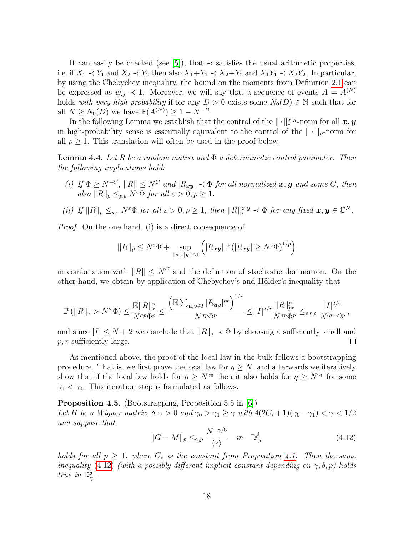It can easily be checked (see [\[5\]](#page-27-9)), that  $\prec$  satisfies the usual arithmetic properties, i.e. if  $X_1 \prec Y_1$  and  $X_2 \prec Y_2$  then also  $X_1 + Y_1 \prec X_2 + Y_2$  and  $X_1Y_1 \prec X_2Y_2$ . In particular, by using the Chebychev inequality, the bound on the moments from Definition [2.1](#page-5-1) can be expressed as  $w_{ij} \prec 1$ . Moreover, we will say that a sequence of events  $A = A^{(N)}$ holds with very high probability if for any  $D > 0$  exists some  $N_0(D) \in \mathbb{N}$  such that for all  $N \geq N_0(D)$  we have  $\mathbb{P}(A^{(N)}) \geq 1 - N^{-D}$ .

In the following Lemma we establish that the control of the  $\|\cdot\|_*^{x,y}$ -norm for all  $x,y$ in high-probability sense is essentially equivalent to the control of the  $\|\cdot\|_p$ -norm for all  $p \geq 1$ . This translation will often be used in the proof below.

<span id="page-17-2"></span>**Lemma 4.4.** Let R be a random matrix and  $\Phi$  a deterministic control parameter. Then the following implications hold:

(i) If  $\Phi \ge N^{-C}$ ,  $||R|| \le N^C$  and  $|R_{xy}| \prec \Phi$  for all normalized  $x, y$  and some C, then also  $||R||_p \leq_{p,\varepsilon} N^{\varepsilon} \Phi$  for all  $\varepsilon > 0, p \geq 1$ .

(ii) If 
$$
||R||_p \leq_{p,\varepsilon} N^{\varepsilon} \Phi
$$
 for all  $\varepsilon > 0, p \geq 1$ , then  $||R||_*^{\mathbf{x},\mathbf{y}} \prec \Phi$  for any fixed  $\mathbf{x}, \mathbf{y} \in \mathbb{C}^N$ .

Proof. On the one hand, (i) is a direct consequence of

$$
||R||_p \le N^{\varepsilon} \Phi + \sup_{||\boldsymbol{x}||, ||\boldsymbol{y}|| \le 1} \left( |R_{\boldsymbol{x}\boldsymbol{y}}| \, \mathbb{P} \left( |R_{\boldsymbol{x}\boldsymbol{y}}| \ge N^{\varepsilon} \Phi \right)^{1/p} \right)
$$

in combination with  $||R|| \leq N^C$  and the definition of stochastic domination. On the other hand, we obtain by application of Chebychev's and Hölder's inequality that

$$
\mathbb{P}\left(\|R\|_{*} > N^{\sigma}\Phi\right) \leq \frac{\mathbb{E}\|R\|_{*}^{p}}{N^{\sigma p}\Phi^{p}} \leq \frac{\left(\mathbb{E}\sum_{\boldsymbol{u},\boldsymbol{v}\in I}|R_{\boldsymbol{u}\boldsymbol{v}}|^{pr}\right)^{1/r}}{N^{\sigma p}\Phi^{p}} \leq |I|^{2/r}\frac{\|R\|_{pr}^{p}}{N^{\sigma p}\Phi^{p}} \leq_{p,r,\varepsilon} \frac{|I|^{2/r}}{N^{(\sigma-\varepsilon)p}},
$$

and since  $|I| \leq N + 2$  we conclude that  $||R||_* \lt \Phi$  by choosing  $\varepsilon$  sufficiently small and  $p, r$  sufficiently large.  $\Box$ 

As mentioned above, the proof of the local law in the bulk follows a bootstrapping procedure. That is, we first prove the local law for  $\eta \geq N$ , and afterwards we iteratively show that if the local law holds for  $\eta \geq N^{\gamma_0}$  then it also holds for  $\eta \geq N^{\gamma_1}$  for some  $\gamma_1 < \gamma_0$ . This iteration step is formulated as follows.

<span id="page-17-0"></span>Proposition 4.5. (Bootstrapping, Proposition 5.5 in [\[6\]](#page-27-4)) Let H be a Wigner matrix,  $\delta, \gamma > 0$  and  $\gamma_0 > \gamma_1 \ge \gamma$  with  $4(2C_*+1)(\gamma_0 - \gamma_1) < \gamma < 1/2$ and suppose that

<span id="page-17-1"></span>
$$
||G - M||_p \leq_{\gamma, p} \frac{N^{-\gamma/6}}{\langle z \rangle} \quad in \quad \mathbb{D}^{\delta}_{\gamma_0}
$$
\n(4.12)

holds for all  $p \geq 1$ , where  $C_*$  is the constant from Proposition [4.1.](#page-12-1) Then the same inequality [\(4.12\)](#page-17-1) (with a possibly different implicit constant depending on  $\gamma$ ,  $\delta$ , p) holds true in  $\mathbb{D}_{\gamma_1}^{\delta}$ .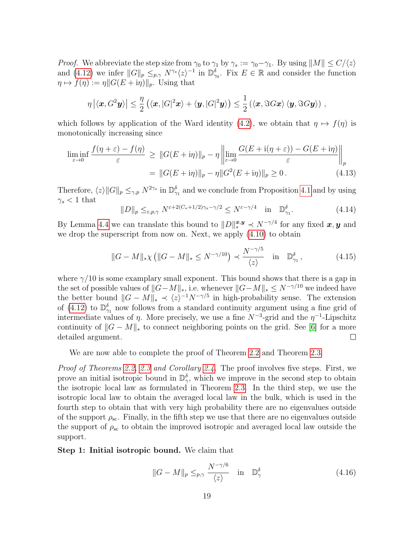*Proof.* We abbreviate the step size from  $\gamma_0$  to  $\gamma_1$  by  $\gamma_s := \gamma_0 - \gamma_1$ . By using  $||M|| \le C/\langle z \rangle$ and [\(4.12\)](#page-17-1) we infer  $||G||_p \leq_{p,\gamma} N^{\gamma_s}\langle z\rangle^{-1}$  in  $\mathbb{D}_{\gamma_0}^{\delta}$ . Fix  $E \in \mathbb{R}$  and consider the function  $\eta \mapsto f(\eta) := \eta \| G(E + i\eta) \|_p$ . Using that

$$
\eta |\langle \boldsymbol{x}, G^2\boldsymbol{y} \rangle| \leq \frac{\eta}{2} (\langle \boldsymbol{x}, |G|^2\boldsymbol{x} \rangle + \langle \boldsymbol{y}, |G|^2\boldsymbol{y} \rangle) \leq \frac{1}{2} (\langle \boldsymbol{x}, \Im G\boldsymbol{x} \rangle \langle \boldsymbol{y}, \Im G\boldsymbol{y} \rangle) ,
$$

which follows by application of the Ward identity [\(4.2\)](#page-13-3), we obtain that  $\eta \mapsto f(\eta)$  is monotonically increasing since

$$
\liminf_{\varepsilon \to 0} \frac{f(\eta + \varepsilon) - f(\eta)}{\varepsilon} \ge \|G(E + i\eta)\|_p - \eta \left\| \lim_{\varepsilon \to 0} \frac{G(E + i(\eta + \varepsilon)) - G(E + i\eta)}{\varepsilon} \right\|_p
$$

$$
= \|G(E + i\eta)\|_p - \eta \|G^2(E + i\eta)\|_p \ge 0. \tag{4.13}
$$

Therefore,  $\langle z \rangle ||G||_p \leq_{\gamma,p} N^{2\gamma_s}$  in  $\mathbb{D}_{\gamma_1}^{\delta}$  and we conclude from Proposition [4.1](#page-12-1) and by using  $\gamma_s < 1$  that

$$
||D||_p \leq_{\varepsilon,p,\gamma} N^{\varepsilon+2(C_*+1/2)\gamma_s-\gamma/2} \leq N^{\varepsilon-\gamma/4} \quad \text{in} \quad \mathbb{D}^{\delta}_{\gamma_1}.
$$

By Lemma [4.4](#page-17-2) we can translate this bound to  $||D||_*^{x,y} \prec N^{-\gamma/4}$  for any fixed  $x, y$  and we drop the superscript from now on. Next, we apply  $(4.10)$  to obtain

$$
||G - M||_{*}\chi (||G - M||_{*} \le N^{-\gamma/10}) \prec \frac{N^{-\gamma/5}}{\langle z \rangle} \quad \text{in} \quad \mathbb{D}^{\delta}_{\gamma_{1}}, \tag{4.15}
$$

where  $\gamma/10$  is some examplary small exponent. This bound shows that there is a gap in the set of possible values of  $||G-M||_*$ , i.e. whenever  $||G-M||_* \leq N^{-\gamma/10}$  we indeed have the better bound  $||G - M||_* \prec \langle z \rangle^{-1} N^{-\gamma/5}$  in high-probability sense. The extension of [\(4.12\)](#page-17-1) to  $\mathbb{D}_{\gamma_1}^{\delta}$  now follows from a standard continuity argument using a fine grid of intermediate values of  $\eta$ . More precisely, we use a fine  $N^{-3}$ -grid and the  $\eta^{-1}$ -Lipschitz continuity of  $||G - M||_{*}$  to connect neighboring points on the grid. See [\[6\]](#page-27-4) for a more detailed argument.  $\Box$ 

We are now able to complete the proof of Theorem [2.2](#page-6-1) and Theorem [2.3.](#page-7-0)

Proof of Theorems [2.2,](#page-6-1) [2.3](#page-7-0) and Corollary [2.4.](#page-7-1) The proof involves five steps. First, we prove an initial isotropic bound in  $\mathbb{D}_{\gamma}^{\delta}$ , which we improve in the second step to obtain the isotropic local law as formulated in Theorem [2.3.](#page-7-0) In the third step, we use the isotropic local law to obtain the averaged local law in the bulk, which is used in the fourth step to obtain that with very high probability there are no eigenvalues outside of the support  $\rho_{\rm sc}$ . Finally, in the fifth step we use that there are no eigenvalues outside the support of  $\rho_{\rm sc}$  to obtain the improved isotropic and averaged local law outside the support.

Step 1: Initial isotropic bound. We claim that

<span id="page-18-0"></span>
$$
||G - M||_p \leq_{p,\gamma} \frac{N^{-\gamma/6}}{\langle z \rangle} \quad \text{in} \quad \mathbb{D}_\gamma^\delta \tag{4.16}
$$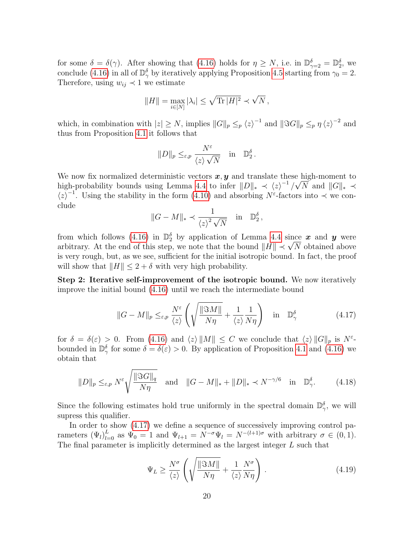for some  $\delta = \delta(\gamma)$ . After showing that [\(4.16\)](#page-18-0) holds for  $\eta \ge N$ , i.e. in  $\mathbb{D}_{\gamma=2}^{\delta} = \mathbb{D}_{2}^{\delta}$ , we conclude [\(4.16\)](#page-18-0) in all of  $\mathbb{D}_{\gamma}^{\delta}$  by iteratively applying Proposition [4.5](#page-17-0) starting from  $\gamma_0 = 2$ . Therefore, using  $w_{ij} \prec 1$  we estimate

$$
||H|| = \max_{i \in [N]} |\lambda_i| \le \sqrt{\text{Tr} |H|^2} \prec \sqrt{N},
$$

which, in combination with  $|z| \geq N$ , implies  $||G||_p \leq_p \langle z \rangle^{-1}$  and  $||\Im G||_p \leq_p \eta \langle z \rangle^{-2}$  and thus from Proposition [4.1](#page-12-1) it follows that

$$
||D||_p \leq_{\varepsilon,p} \frac{N^{\varepsilon}}{\langle z \rangle \sqrt{N}} \quad \text{in} \quad \mathbb{D}_2^{\delta}.
$$

We now fix normalized deterministic vectors  $\boldsymbol{x}, \boldsymbol{y}$  and translate these high-moment to high-probability bounds using Lemma [4.4](#page-17-2) to infer  $||D||_* \prec \langle z \rangle^{-1}/\sqrt{N}$  and  $||G||_* \prec$  $\langle z \rangle^{-1}$ . Using the stability in the form [\(4.10\)](#page-16-1) and absorbing N<sup>ε</sup>-factors into  $\prec$  we conclude

$$
||G - M||_* \prec \frac{1}{\langle z \rangle^2 \sqrt{N}} \quad \text{in} \quad \mathbb{D}_2^{\delta},
$$

from which follows [\(4.16\)](#page-18-0) in  $\mathbb{D}_2^{\delta}$  by application of Lemma [4.4](#page-17-2) since x and y were arbitrary. At the end of this step, we note that the bound  $||H|| \prec \sqrt{N}$  obtained above is very rough, but, as we see, sufficient for the initial isotropic bound. In fact, the proof will show that  $||H|| \leq 2 + \delta$  with very high probability.

Step 2: Iterative self-improvement of the isotropic bound. We now iteratively improve the initial bound [\(4.16\)](#page-18-0) until we reach the intermediate bound

<span id="page-19-0"></span>
$$
||G - M||_p \leq_{\varepsilon,p} \frac{N^{\varepsilon}}{\langle z \rangle} \left( \sqrt{\frac{||\Im M||}{N\eta}} + \frac{1}{\langle z \rangle} \frac{1}{N\eta} \right) \quad \text{in} \quad \mathbb{D}_\gamma^{\delta} \tag{4.17}
$$

for  $\delta = \delta(\varepsilon) > 0$ . From [\(4.16\)](#page-18-0) and  $\langle z \rangle ||M|| \leq C$  we conclude that  $\langle z \rangle ||G||_p$  is  $N^{\varepsilon}$ bounded in  $\mathbb{D}_{\gamma}^{\delta}$  for some  $\delta = \delta(\varepsilon) > 0$ . By application of Proposition [4.1](#page-12-1) and [\(4.16\)](#page-18-0) we obtain that

<span id="page-19-1"></span>
$$
||D||_p \leq_{\varepsilon,p} N^{\varepsilon} \sqrt{\frac{||\Im G||_q}{N\eta}} \quad \text{and} \quad ||G - M||_* + ||D||_* \prec N^{-\gamma/6} \quad \text{in} \quad \mathbb{D}_\gamma^{\delta}.
$$
 (4.18)

Since the following estimates hold true uniformly in the spectral domain  $\mathbb{D}_{\gamma}^{\delta}$ , we will supress this qualifier.

In order to show [\(4.17\)](#page-19-0) we define a sequence of successively improving control parameters  $(\Psi_l)_{l=0}^L$  as  $\Psi_0 = 1$  and  $\Psi_{l+1} = N^{-\sigma} \Psi_l = N^{-(l+1)\sigma}$  with arbitrary  $\sigma \in (0,1)$ . The final parameter is implicitly determined as the largest integer L such that

<span id="page-19-2"></span>
$$
\Psi_L \ge \frac{N^{\sigma}}{\langle z \rangle} \left( \sqrt{\frac{\|\Im M\|}{N\eta}} + \frac{1}{\langle z \rangle} \frac{N^{\sigma}}{N\eta} \right) . \tag{4.19}
$$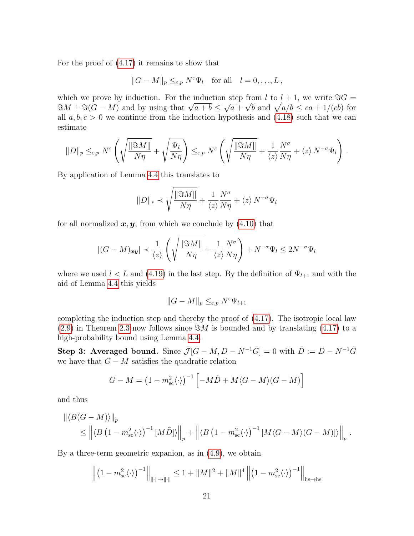For the proof of [\(4.17\)](#page-19-0) it remains to show that

$$
||G - M||_p \leq_{\varepsilon,p} N^{\varepsilon} \Psi_l
$$
 for all  $l = 0, \ldots, L$ ,

which we prove by induction. For the induction step from l to  $l + 1$ , we write  $\Im G =$ which we prove by induction. For the induction step from l to  $l + 1$ , we write  $3G = 3M + 3(G - M)$  and by using that  $\sqrt{a+b} \leq \sqrt{a} + \sqrt{b}$  and  $\sqrt{a/b} \leq ca + 1/(cb)$  for all  $a, b, c > 0$  we continue from the induction hypothesis and  $(4.18)$  such that we can estimate

$$
||D||_p \leq_{\varepsilon,p} N^{\varepsilon} \left( \sqrt{\frac{||\Im M||}{N\eta}} + \sqrt{\frac{\Psi_l}{N\eta}} \right) \leq_{\varepsilon,p} N^{\varepsilon} \left( \sqrt{\frac{||\Im M||}{N\eta}} + \frac{1}{\langle z \rangle} \frac{N^{\sigma}}{N\eta} + \langle z \rangle N^{-\sigma} \Psi_l \right).
$$

By application of Lemma [4.4](#page-17-2) this translates to

$$
||D||_* \prec \sqrt{\frac{||\Im M||}{N\eta}} + \frac{1}{\langle z \rangle} \frac{N^{\sigma}}{N\eta} + \langle z \rangle N^{-\sigma} \Psi_l
$$

for all normalized  $x, y$ , from which we conclude by  $(4.10)$  that

$$
|(G - M)_{xy}| \prec \frac{1}{\langle z \rangle} \left( \sqrt{\frac{\|\Im M\|}{N\eta}} + \frac{1}{\langle z \rangle} \frac{N^{\sigma}}{N\eta} \right) + N^{-\sigma} \Psi_l \le 2N^{-\sigma} \Psi_l
$$

where we used  $l < L$  and [\(4.19\)](#page-19-2) in the last step. By the definition of  $\Psi_{l+1}$  and with the aid of Lemma [4.4](#page-17-2) this yields

$$
||G - M||_p \leq_{\varepsilon,p} N^{\varepsilon} \Psi_{l+1}
$$

completing the induction step and thereby the proof of [\(4.17\)](#page-19-0). The isotropic local law  $(2.9)$  in Theorem [2.3](#page-7-0) now follows since  $\Im M$  is bounded and by translating  $(4.17)$  to a high-probability bound using Lemma [4.4.](#page-17-2)

Step 3: Averaged bound. Since  $\tilde{\mathcal{J}}[G-M, D-N^{-1}\tilde{G}] = 0$  with  $\tilde{D} := D - N^{-1}\tilde{G}$ we have that  $G - M$  satisfies the quadratic relation

$$
G - M = (1 - m_{\rm sc}^2 \langle \cdot \rangle)^{-1} \left[ -M\tilde{D} + M\langle G - M \rangle (G - M) \right]
$$

and thus

$$
\left\| \langle B(G-M) \rangle \right\|_p
$$
  
\$\leq\$ 
$$
\left\| \langle B(1-m_{\rm sc}^2 \langle \cdot \rangle)^{-1} \left[ M \tilde{D} \right] \rangle \right\|_p + \left\| \langle B(1-m_{\rm sc}^2 \langle \cdot \rangle)^{-1} \left[ M \langle G-M \rangle (G-M) \right] \rangle \right\|_p.
$$

By a three-term geometric expanion, as in [\(4.9\)](#page-15-4), we obtain

$$
\left\| \left(1 - m_{\rm sc}^2 \langle \cdot \rangle \right)^{-1} \right\|_{\|\cdot\| \to \|\cdot\|} \le 1 + \|M\|^2 + \|M\|^4 \left\| \left(1 - m_{\rm sc}^2 \langle \cdot \rangle \right)^{-1} \right\|_{\text{hs}\to\text{hs}}
$$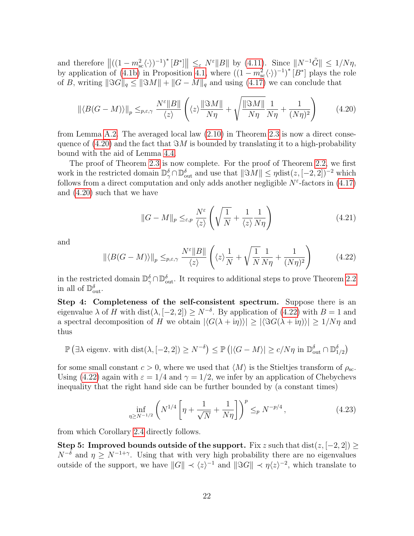and therefore  $\left\| \left( (1 - m_{\rm sc}^2 \langle \cdot \rangle)^{-1} \right)^* [B^*] \right\| \leq_{\varepsilon} N^{\varepsilon} \|B\|$  by [\(4.11\)](#page-16-2). Since  $\| N^{-1} \tilde{G} \| \leq 1/N\eta$ , by application of [\(4.1b\)](#page-13-2) in Proposition [4.1,](#page-12-1) where  $((1-m_{\text{sc}}^2\langle \cdot \rangle)^{-1})^*$  [B<sup>\*</sup>] plays the role of B, writing  $\|\Im G\|_q \leq \|\Im M\| + \|G - M\|_q$  and using [\(4.17\)](#page-19-0) we can conclude that

<span id="page-21-0"></span>
$$
\left\| \langle B(G-M) \rangle \right\|_p \leq_{p,\varepsilon,\gamma} \frac{N^{\varepsilon} \|B\|}{\langle z \rangle} \left( \langle z \rangle \frac{\|\Im M\|}{N\eta} + \sqrt{\frac{\|\Im M\|}{N\eta}} \frac{1}{N\eta} + \frac{1}{(N\eta)^2} \right) \tag{4.20}
$$

from Lemma [A.2.](#page-26-4) The averaged local law [\(2.10\)](#page-7-3) in Theorem [2.3](#page-7-0) is now a direct consequence of  $(4.20)$  and the fact that  $\Im M$  is bounded by translating it to a high-probability bound with the aid of Lemma [4.4.](#page-17-2)

The proof of Theorem [2.3](#page-7-0) is now complete. For the proof of Theorem [2.2,](#page-6-1) we first work in the restricted domain  $\mathbb{D}_{\gamma}^{\delta} \cap \mathbb{D}_{\text{out}}^{\delta}$  and use that  $\|\Im M\| \leq \eta \text{dist}(z, [-2, 2])^{-2}$  which follows from a direct computation and only adds another negligible  $N^{\varepsilon}$ -factors in [\(4.17\)](#page-19-0) and [\(4.20\)](#page-21-0) such that we have

<span id="page-21-2"></span>
$$
||G - M||_p \leq_{\varepsilon,p} \frac{N^{\varepsilon}}{\langle z \rangle} \left( \sqrt{\frac{1}{N}} + \frac{1}{\langle z \rangle} \frac{1}{N\eta} \right)
$$
(4.21)

and

<span id="page-21-1"></span>
$$
\|\langle B(G-M)\rangle\|_{p} \leq_{p,\varepsilon,\gamma} \frac{N^{\varepsilon} \|B\|}{\langle z \rangle} \left(\langle z \rangle \frac{1}{N} + \sqrt{\frac{1}{N} \frac{1}{N\eta}} + \frac{1}{(N\eta)^{2}}\right) \tag{4.22}
$$

in the restricted domain  $\mathbb{D}_{\gamma}^{\delta} \cap \mathbb{D}_{\text{out}}^{\delta}$ . It requires to additional steps to prove Theorem [2.2](#page-6-1) in all of  $\mathbb{D}_{\text{out}}^{\delta}$ .

Step 4: Completeness of the self-consistent spectrum. Suppose there is an eigenvalue  $\lambda$  of H with dist $(\lambda, [-2, 2]) \geq N^{-\delta}$ . By application of  $(4.22)$  with  $B = 1$  and a spectral decomposition of H we obtain  $|\langle G(\lambda + i\eta) \rangle| \geq |\langle \Im G(\lambda + i\eta) \rangle| \geq 1/N\eta$  and thus

$$
\mathbb{P}\left(\exists \lambda \text{ eigenv. with } \text{dist}(\lambda, [-2, 2]) \ge N^{-\delta}\right) \le \mathbb{P}\left(|\langle G - M \rangle| \ge c/N\eta \text{ in } \mathbb{D}_{\text{out}}^{\delta} \cap \mathbb{D}_{1/2}^{\delta}\right)
$$

for some small constant  $c > 0$ , where we used that  $\langle M \rangle$  is the Stieltjes transform of  $\rho_{\rm sc}$ . Using [\(4.22\)](#page-21-1) again with  $\varepsilon = 1/4$  and  $\gamma = 1/2$ , we infer by an application of Chebychevs inequality that the right hand side can be further bounded by (a constant times)

$$
\inf_{\eta \ge N^{-1/2}} \left( N^{1/4} \left[ \eta + \frac{1}{\sqrt{N}} + \frac{1}{N\eta} \right] \right)^p \leq_p N^{-p/4}, \tag{4.23}
$$

from which Corollary [2.4](#page-7-1) directly follows.

Step 5: Improved bounds outside of the support. Fix z such that  $dist(z, [-2, 2]) \ge$  $N^{-\delta}$  and  $\eta \ge N^{-1+\gamma}$ . Using that with very high probability there are no eigenvalues outside of the support, we have  $||G|| \prec \langle z \rangle^{-1}$  and  $||\Im G|| \prec \eta \langle z \rangle^{-2}$ , which translate to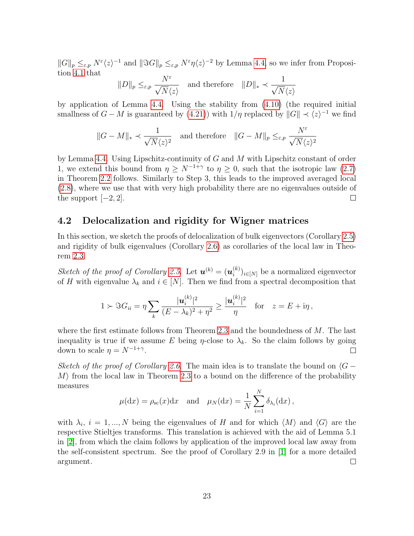$||G||_p \leq_{\varepsilon,p} N^{\varepsilon} \langle z \rangle^{-1}$  and  $||\Im G||_p \leq_{\varepsilon,p} N^{\varepsilon}\eta \langle z \rangle^{-2}$  by Lemma [4.4,](#page-17-2) so we infer from Proposition [4.1](#page-12-1) that

$$
||D||_p \leq_{\varepsilon,p} \frac{N^{\varepsilon}}{\sqrt{N} \langle z \rangle}
$$
 and therefore  $||D||_* \prec \frac{1}{\sqrt{N} \langle z \rangle}$ 

by application of Lemma [4.4.](#page-17-2) Using the stability from [\(4.10\)](#page-16-1) (the required initial smallness of  $G - M$  is guaranteed by [\(4.21\)](#page-21-2)) with  $1/\eta$  replaced by  $||G|| \prec \langle z \rangle^{-1}$  we find

$$
\|G-M\|_* \prec \frac{1}{\sqrt{N}\langle z \rangle^2} \quad \text{and therefore} \quad \|G-M\|_p \leq_{\varepsilon,p} \frac{N^{\varepsilon}}{\sqrt{N}\langle z \rangle^2}
$$

by Lemma [4.4.](#page-17-2) Using Lipschitz-continuity of G and M with Lipschitz constant of order 1, we extend this bound from  $\eta \geq N^{-1+\gamma}$  to  $\eta \geq 0$ , such that the isotropic law [\(2.7\)](#page-6-4) in Theorem [2.2](#page-6-1) follows. Similarly to Step 3, this leads to the improved averaged local [\(2.8\)](#page-6-2), where we use that with very high probability there are no eigenvalues outside of the support  $[-2, 2]$ .  $\Box$ 

## 4.2 Delocalization and rigidity for Wigner matrices

In this section, we sketch the proofs of delocalization of bulk eigenvectors (Corollary [2.5\)](#page-7-2) and rigidity of bulk eigenvalues (Corollary [2.6\)](#page-8-1) as corollaries of the local law in Theorem [2.3.](#page-7-0)

Sketch of the proof of Corollary [2.5.](#page-7-2) Let  $\mathbf{u}^{(k)} = (\mathbf{u}_i^{(k)})$  $\binom{k}{i}$ <sub>i∈[N]</sub> be a normalized eigenvector of H with eigenvalue  $\lambda_k$  and  $i \in [N]$ . Then we find from a spectral decomposition that

$$
1 \succ \Im G_{ii} = \eta \sum_{k} \frac{|\mathbf{u}_{i}^{(k)}|^2}{(E - \lambda_k)^2 + \eta^2} \ge \frac{|\mathbf{u}_{i}^{(k)}|^2}{\eta} \quad \text{for} \quad z = E + \mathrm{i}\eta\,,
$$

where the first estimate follows from Theorem [2.3](#page-7-0) and the boundedness of M. The last inequality is true if we assume E being  $\eta$ -close to  $\lambda_k$ . So the claim follows by going down to scale  $\eta = N^{-1+\gamma}$ .  $\Box$ 

Sketch of the proof of Corollary [2.6.](#page-8-1) The main idea is to translate the bound on  $\langle G - \rangle$  $M$  from the local law in Theorem [2.3](#page-7-0) to a bound on the difference of the probability measures

$$
\mu(\mathrm{d}x) = \rho_{\rm sc}(x)\mathrm{d}x
$$
 and  $\mu_N(\mathrm{d}x) = \frac{1}{N} \sum_{i=1}^N \delta_{\lambda_i}(\mathrm{d}x)$ ,

with  $\lambda_i$ ,  $i = 1, ..., N$  being the eigenvalues of H and for which  $\langle M \rangle$  and  $\langle G \rangle$  are the respective Stieltjes transforms. This translation is achieved with the aid of Lemma 5.1 in [\[2\]](#page-26-5), from which the claim follows by application of the improved local law away from the self-consistent spectrum. See the proof of Corollary 2.9 in [\[1\]](#page-26-0) for a more detailed argument.  $\Box$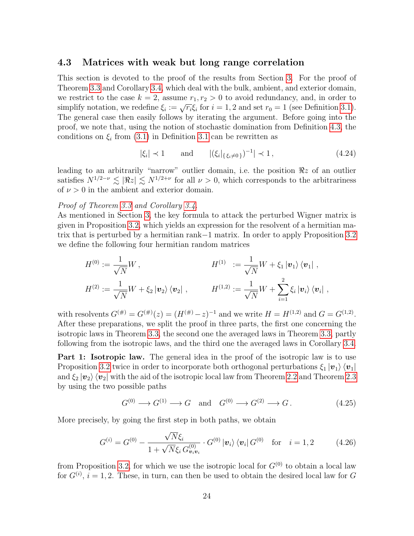### 4.3 Matrices with weak but long range correlation

This section is devoted to the proof of the results from Section [3.](#page-8-0) For the proof of Theorem [3.3](#page-10-0) and Corollary [3.4,](#page-11-0) which deal with the bulk, ambient, and exterior domain, we restrict to the case  $k = 2$ , assume  $r_1, r_2 > 0$  to avoid redundancy, and, in order to we restrict to the case  $\kappa = 2$ , assume  $r_1, r_2 > 0$  to avoid redundancy, and, in order to simplify notation, we redefine  $\xi_i := \sqrt{r_i} \xi_i$  for  $i = 1, 2$  and set  $r_0 = 1$  (see Definition [3.1\)](#page-8-3). The general case then easily follows by iterating the argument. Before going into the proof, we note that, using the notion of stochastic domination from Definition [4.3,](#page-16-0) the conditions on  $\xi_i$  from [\(3.1\)](#page-8-4) in Definition [3.1](#page-8-3) can be rewritten as

<span id="page-23-0"></span>
$$
|\xi_i| \prec 1
$$
 and  $|(\xi_i|_{\{\xi_i \neq 0\}})^{-1}| \prec 1,$  (4.24)

leading to an arbitrarily "narrow" outlier domain, i.e. the position  $\Re z$  of an outlier satisfies  $N^{1/2-\nu} \lesssim |\Re z| \lesssim N^{1/2+\nu}$  for all  $\nu > 0$ , which corresponds to the arbitrariness of  $\nu > 0$  in the ambient and exterior domain.

#### Proof of Theorem [3.3](#page-10-0) and Corollary [3.4.](#page-11-0)

As mentioned in Section [3,](#page-8-0) the key formula to attack the perturbed Wigner matrix is given in Proposition [3.2,](#page-9-0) which yields an expression for the resolvent of a hermitian matrix that is perturbed by a hermitian rank−1 matrix. In order to apply Proposition [3.2](#page-9-0) we define the following four hermitian random matrices

$$
H^{(0)} := \frac{1}{\sqrt{N}} W, \qquad H^{(1)} := \frac{1}{\sqrt{N}} W + \xi_1 |v_1\rangle \langle v_1| ,
$$
  

$$
H^{(2)} := \frac{1}{\sqrt{N}} W + \xi_2 |v_2\rangle \langle v_2| , \qquad H^{(1,2)} := \frac{1}{\sqrt{N}} W + \sum_{i=1}^2 \xi_i |v_i\rangle \langle v_i| ,
$$

with resolvents  $G^{(\#)} = G^{(\#)}(z) = (H^{(\#)} - z)^{-1}$  and we write  $H = H^{(1,2)}$  and  $G = G^{(1,2)}$ . After these preparations, we split the proof in three parts, the first one concerning the isotropic laws in Theorem [3.3,](#page-10-0) the second one the averaged laws in Theorem [3.3,](#page-10-0) partly following from the isotropic laws, and the third one the averaged laws in Corollary [3.4.](#page-11-0)

**Part 1: Isotropic law.** The general idea in the proof of the isotropic law is to use Proposition [3.2](#page-9-0) twice in order to incorporate both orthogonal perturbations  $\xi_1 |v_1\rangle \langle v_1|$ and  $\xi_2 |v_2\rangle \langle v_2|$  with the aid of the isotropic local law from Theorem [2.2](#page-6-1) and Theorem [2.3](#page-7-0) by using the two possible paths

<span id="page-23-1"></span>
$$
G^{(0)} \longrightarrow G^{(1)} \longrightarrow G \quad \text{and} \quad G^{(0)} \longrightarrow G^{(2)} \longrightarrow G. \tag{4.25}
$$

More precisely, by going the first step in both paths, we obtain

<span id="page-23-2"></span>
$$
G^{(i)} = G^{(0)} - \frac{\sqrt{N}\xi_i}{1 + \sqrt{N}\xi_i G^{(0)}_{\mathbf{v}_i \mathbf{v}_i}} \cdot G^{(0)} |\mathbf{v}_i\rangle \langle \mathbf{v}_i| G^{(0)} \text{ for } i = 1, 2 \quad (4.26)
$$

from Proposition [3.2,](#page-9-0) for which we use the isotropic local for  $G^{(0)}$  to obtain a local law for  $G^{(i)}$ ,  $i = 1, 2$ . These, in turn, can then be used to obtain the desired local law for G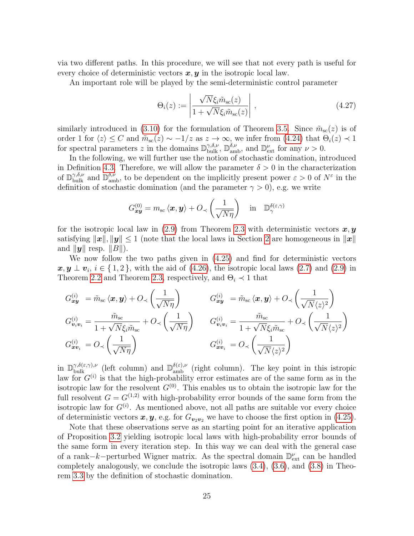via two different paths. In this procedure, we will see that not every path is useful for every choice of deterministic vectors  $x, y$  in the isotropic local law.

An important role will be played by the semi-deterministic control parameter

$$
\Theta_i(z) := \left| \frac{\sqrt{N} \xi_i \tilde{m}_{\rm sc}(z)}{1 + \sqrt{N} \xi_i \tilde{m}_{\rm sc}(z)} \right|, \qquad (4.27)
$$

similarly introduced in [\(3.10\)](#page-11-4) for the formulation of Theorem [3.5.](#page-11-1) Since  $\tilde{m}_{\rm sc}(z)$  is of order 1 for  $\langle z \rangle \le C$  and  $\tilde{m}_{\rm sc}(z) \sim -1/z$  as  $z \to \infty$ , we infer from [\(4.24\)](#page-23-0) that  $\Theta_i(z) \prec 1$ for spectral parameters z in the domains  $\mathbb{D}_{\text{bulk}}^{\gamma,\delta,\nu}$ ,  $\mathbb{D}_{\text{amb}}^{\delta,\nu}$ , and  $\mathbb{D}_{\text{ext}}^{\nu}$  for any  $\nu > 0$ .

In the following, we will further use the notion of stochastic domination, introduced in Definition [4.3.](#page-16-0) Therefore, we will allow the parameter  $\delta > 0$  in the characterization of  $\mathbb{D}_{\text{bulk}}^{\gamma,\delta,\nu}$  and  $\mathbb{D}_{\text{amb}}^{\delta,\nu}$ , to be dependent on the implicitly present power  $\varepsilon > 0$  of  $N^{\varepsilon}$  in the definition of stochastic domination (and the parameter  $\gamma > 0$ ), e.g. we write

$$
G_{\boldsymbol{x}\boldsymbol{y}}^{(0)} = m_{\rm sc} \langle \boldsymbol{x}, \boldsymbol{y} \rangle + O_{\prec} \left( \frac{1}{\sqrt{N\eta}} \right) \quad \text{in} \quad \mathbb{D}_{\gamma}^{\delta(\varepsilon,\gamma)}
$$

for the isotropic local law in [\(2.9\)](#page-7-4) from Theorem [2.3](#page-7-0) with deterministic vectors  $x, y$ satisfying  $||x||, ||y|| \leq 1$  (note that the local laws in Section [2](#page-5-0) are homogeneous in  $||x||$ and  $\|\mathbf{y}\|$  resp.  $\|B\|$ ).

We now follow the two paths given in [\(4.25\)](#page-23-1) and find for deterministic vectors  $x, y \perp v_i, i \in \{1, 2\}$ , with the aid of [\(4.26\)](#page-23-2), the isotropic local laws [\(2.7\)](#page-6-4) and [\(2.9\)](#page-7-4) in Theorem [2.2](#page-6-1) and Theorem [2.3,](#page-7-0) respectively, and  $\Theta_i \prec 1$  that

$$
G_{\boldsymbol{x}\boldsymbol{y}}^{(i)} = \tilde{m}_{\rm sc} \langle \boldsymbol{x}, \boldsymbol{y} \rangle + O_{\prec} \left( \frac{1}{\sqrt{N\eta}} \right) \qquad G_{\boldsymbol{x}\boldsymbol{y}}^{(i)} = \tilde{m}_{\rm sc} \langle \boldsymbol{x}, \boldsymbol{y} \rangle + O_{\prec} \left( \frac{1}{\sqrt{N} \langle z \rangle^2} \right)
$$
  
\n
$$
G_{\boldsymbol{v}_i \boldsymbol{v}_i}^{(i)} = \frac{\tilde{m}_{\rm sc}}{1 + \sqrt{N} \xi_i \tilde{m}_{\rm sc}} + O_{\prec} \left( \frac{1}{\sqrt{N\eta}} \right) \qquad G_{\boldsymbol{v}_i \boldsymbol{v}_i}^{(i)} = \frac{\tilde{m}_{\rm sc}}{1 + \sqrt{N} \xi_i \tilde{m}_{\rm sc}} + O_{\prec} \left( \frac{1}{\sqrt{N} \langle z \rangle^2} \right)
$$
  
\n
$$
G_{\boldsymbol{x}\boldsymbol{v}_i}^{(i)} = O_{\prec} \left( \frac{1}{\sqrt{N\eta}} \right) \qquad G_{\boldsymbol{x}\boldsymbol{v}_i}^{(i)} = O_{\prec} \left( \frac{1}{\sqrt{N} \langle z \rangle^2} \right)
$$

in  $\mathbb{D}_{\text{bulk}}^{\gamma,\delta(\varepsilon,\gamma),\nu}$  (left column) and  $\mathbb{D}_{\text{amb}}^{\delta(\varepsilon),\nu}$  (right column). The key point in this istropic law for  $G^{(i)}$  is that the high-probability error estimates are of the same form as in the isotropic law for the resolvent  $G^{(0)}$ . This enables us to obtain the isotropic law for the full resolvent  $G = G^{(1,2)}$  with high-probability error bounds of the same form from the isotropic law for  $G^{(i)}$ . As mentioned above, not all paths are suitable vor every choice of deterministic vectors  $x, y$ , e.g. for  $G_{v_2v_2}$  we have to choose the first option in [\(4.25\)](#page-23-1).

Note that these observations serve as an starting point for an iterative application of Proposition [3.2](#page-9-0) yielding isotropic local laws with high-probability error bounds of the same form in every iteration step. In this way we can deal with the general case of a rank–k–perturbed Wigner matrix. As the spectral domain  $\mathbb{D}^{\nu}_{ext}$  can be handled completely analogously, we conclude the isotropic laws [\(3.4\)](#page-10-3), [\(3.6\)](#page-10-4), and [\(3.8\)](#page-10-5) in Theorem [3.3](#page-10-0) by the definition of stochastic domination.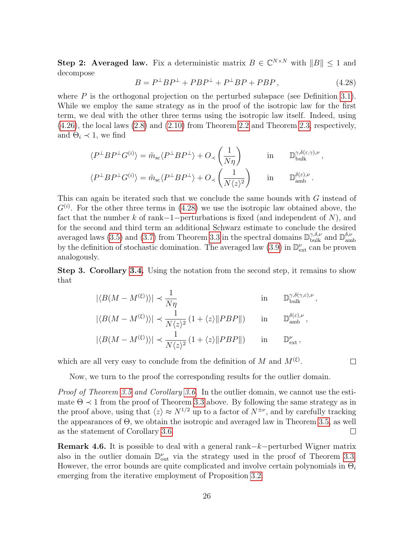Step 2: Averaged law. Fix a deterministic matrix  $B \in \mathbb{C}^{N \times N}$  with  $||B|| \leq 1$  and decompose

<span id="page-25-1"></span>
$$
B = P^{\perp}BP^{\perp} + PBP^{\perp} + P^{\perp}BP + PBP, \qquad (4.28)
$$

where  $P$  is the orthogonal projection on the perturbed subspace (see Definition [3.1\)](#page-8-3). While we employ the same strategy as in the proof of the isotropic law for the first term, we deal with the other three terms using the isotropic law itself. Indeed, using [\(4.26\)](#page-23-2), the local laws [\(2.8\)](#page-6-2) and [\(2.10\)](#page-7-3) from Theorem [2.2](#page-6-1) and Theorem [2.3,](#page-7-0) respectively, and  $\Theta_i \prec 1$ , we find

$$
\langle P^{\perp}BP^{\perp}G^{(i)}\rangle = \tilde{m}_{sc}\langle P^{\perp}BP^{\perp}\rangle + O_{\prec}\left(\frac{1}{N\eta}\right) \quad \text{in} \quad \mathbb{D}_{\text{bulk}}^{\gamma,\delta(\varepsilon,\gamma),\nu},
$$
  

$$
\langle P^{\perp}BP^{\perp}G^{(i)}\rangle = \tilde{m}_{sc}\langle P^{\perp}BP^{\perp}\rangle + O_{\prec}\left(\frac{1}{N\langle z\rangle^{2}}\right) \quad \text{in} \quad \mathbb{D}_{\text{amb}}^{\delta(\varepsilon),\nu}.
$$

This can again be iterated such that we conclude the same bounds with  $G$  instead of  $G^{(i)}$ . For the other three terms in [\(4.28\)](#page-25-1) we use the isotropic law obtained above, the fact that the number k of rank−1−perturbations is fixed (and independent of N), and for the second and third term an additional Schwarz estimate to conclude the desired averaged laws [\(3.5\)](#page-10-1) and [\(3.7\)](#page-10-2) from Theorem [3.3](#page-10-0) in the spectral domains  $\mathbb{D}_{\text{bulk}}^{\gamma,\delta,\nu}$  and  $\mathbb{D}_{\text{am}}^{\delta,\nu}$ amb by the definition of stochastic domination. The averaged law  $(3.9)$  in  $\mathbb{D}^{\nu}_{ext}$  can be proven analogously.

Step 3. Corollary [3.4.](#page-11-0) Using the notation from the second step, it remains to show that

$$
|\langle B(M - M^{(\xi)}) \rangle| \prec \frac{1}{N\eta} \quad \text{in} \quad \mathbb{D}_{\text{bulk}}^{\gamma, \delta(\gamma, \varepsilon), \nu},
$$
  

$$
|\langle B(M - M^{(\xi)}) \rangle| \prec \frac{1}{N \langle z \rangle^2} (1 + \langle z \rangle ||PBP||) \quad \text{in} \quad \mathbb{D}_{\text{amb}}^{\delta(\varepsilon), \nu},
$$

$$
|\langle B(M - M^{(\xi)}) \rangle| \prec \frac{1}{N \langle z \rangle^2} (1 + \langle z \rangle ||PBP||)
$$
 in  $\mathbb{D}_{\text{ext}}^{\nu}$ ,

which are all very easy to conclude from the definition of M and  $M^{(\xi)}$ .

Now, we turn to the proof the corresponding results for the outlier domain.

Proof of Theorem [3.5](#page-11-1) and Corollary [3.6.](#page-12-2) In the outlier domain, we cannot use the estimate  $\Theta \prec 1$  from the proof of Theorem [3.3](#page-10-0) above. By following the same strategy as in the proof above, using that  $\langle z \rangle \approx N^{1/2}$  up to a factor of  $N^{\pm \nu}$ , and by carefully tracking the appearances of Θ, we obtain the isotropic and averaged law in Theorem [3.5,](#page-11-1) as well as the statement of Corollary [3.6.](#page-12-2)  $\Box$ 

<span id="page-25-0"></span>Remark 4.6. It is possible to deal with a general rank−k−perturbed Wigner matrix also in the outlier domain  $\mathbb{D}_{\text{out}}^{\nu}$  via the strategy used in the proof of Theorem [3.3.](#page-10-0) However, the error bounds are quite complicated and involve certain polynomials in  $\Theta_i$ emerging from the iterative employment of Proposition [3.2.](#page-9-0)

 $\Box$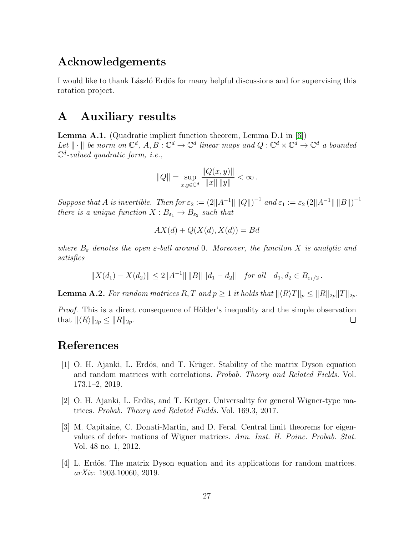## Acknowledgements

I would like to thank Laszlo Erdös for many helpful discussions and for supervising this rotation project.

## A Auxiliary results

<span id="page-26-3"></span>Lemma A.1. (Quadratic implicit function theorem, Lemma D.1 in [\[6\]](#page-27-4)) Let  $\|\cdot\|$  be norm on  $\mathbb{C}^d$ ,  $A, B : \mathbb{C}^d \to \mathbb{C}^d$  linear maps and  $Q : \mathbb{C}^d \times \mathbb{C}^d \to \mathbb{C}^d$  a bounded  $\mathbb{C}^d$ -valued quadratic form, i.e.,

$$
||Q|| = \sup_{x,y \in \mathbb{C}^d} \frac{||Q(x,y)||}{||x|| ||y||} < \infty.
$$

Suppose that A is invertible. Then for  $\varepsilon_2 := (2||A^{-1}|| ||Q||)^{-1}$  and  $\varepsilon_1 := \varepsilon_2 (2||A^{-1}|| ||B||)^{-1}$ there is a unique function  $X: B_{\varepsilon_1} \to B_{\varepsilon_2}$  such that

$$
AX(d) + Q(X(d), X(d)) = Bd
$$

where  $B_{\varepsilon}$  denotes the open  $\varepsilon$ -ball around 0. Moreover, the funciton X is analytic and satisfies

$$
||X(d_1) - X(d_2)|| \le 2||A^{-1}|| ||B|| ||d_1 - d_2|| \quad \text{for all} \quad d_1, d_2 \in B_{\varepsilon_1/2}.
$$

<span id="page-26-4"></span>**Lemma A.2.** For random matrices R, T and  $p \geq 1$  it holds that  $||\langle R \rangle T||_p \leq ||R||_{2p}||T||_{2p}$ .

Proof. This is a direct consequence of Hölder's inequality and the simple observation that  $\|\langle R\rangle\|_{2p} \leq \|R\|_{2p}$ .  $\Box$ 

## References

- <span id="page-26-0"></span>[1] O. H. Ajanki, L. Erdös, and T. Krüger. Stability of the matrix Dyson equation and random matrices with correlations. Probab. Theory and Related Fields. Vol. 173.1–2, 2019.
- <span id="page-26-5"></span>[2] O. H. Ajanki, L. Erdös, and T. Krüger. Universality for general Wigner-type matrices. Probab. Theory and Related Fields. Vol. 169.3, 2017.
- <span id="page-26-2"></span>[3] M. Capitaine, C. Donati-Martin, and D. Feral. Central limit theorems for eigenvalues of defor- mations of Wigner matrices. Ann. Inst. H. Poinc. Probab. Stat. Vol. 48 no. 1, 2012.
- <span id="page-26-1"></span>[4] L. Erdös. The matrix Dyson equation and its applications for random matrices. arXiv: 1903.10060, 2019.